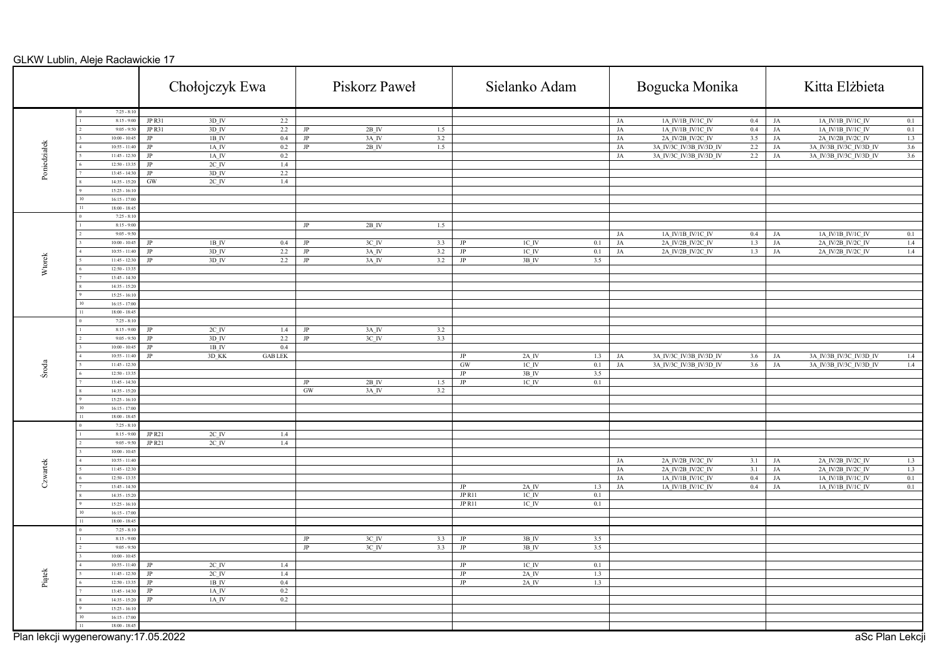|              |                                      |                  | Chołojczyk Ewa              |                |                        | Piskorz Paweł       |     |                  | Sielanko Adam       |     |                  | Bogucka Monika                         |                            |    | Kitta Elżbieta                                       |
|--------------|--------------------------------------|------------------|-----------------------------|----------------|------------------------|---------------------|-----|------------------|---------------------|-----|------------------|----------------------------------------|----------------------------|----|------------------------------------------------------|
|              | $7:25 - 8:10$                        |                  |                             |                |                        |                     |     |                  |                     |     |                  |                                        |                            |    |                                                      |
|              | $8:15 - 9:00$<br>$9:05 - 9:50$       | JP R31<br>JP R31 | 3D IV<br>$3D$ <sub>IV</sub> | 2.2<br>2.2     | $\rm JP$               | $2B$ <sub>IV</sub>  | 1.5 |                  |                     |     | JA<br>JA         | 1A_IV/1B_IV/1C_IV<br>1A_IV/1B_IV/1C_IV | $\overline{0.4}$ JA<br>0.4 | JA | 1A_IV/1B_IV/1C_IV<br>0.1<br>1A_IV/1B_IV/1C_IV<br>0.1 |
|              | $10:00 - 10:45$                      | $_{\rm JP}$      | $1B$ <sub>IV</sub>          | 0.4            | $\mathbf{J}\mathbf{P}$ | 3A_IV               | 3.2 |                  |                     |     | JA               | 2A_IV/2B_IV/2C_IV                      | 3.5                        | JA | 2A_IV/2B_IV/2C_IV<br>1.3                             |
|              | $10:55 - 11:40$                      | JP               | $1A$ IV                     | 0.2            | $\mathbf{JP}$          | 2B IV               | 1.5 |                  |                     |     | <b>JA</b>        | 3A IV/3C IV/3B IV/3D IV                | 2.2                        | JA | 3.6<br>3A IV/3B IV/3C IV/3D IV                       |
| Poniedziałek | $11:45 - 12:30$                      | $_{\rm JP}$      | $1A$ IV                     | $0.2\,$        |                        |                     |     |                  |                     |     | JA               | 3A IV/3C IV/3B IV/3D IV                | 2.2                        | JA | 3A IV/3B IV/3C IV/3D IV<br>3.6                       |
|              | $12:50 - 13:35$                      | $\rm JP$         | $2C$ <sub>IV</sub>          | 1.4            |                        |                     |     |                  |                     |     |                  |                                        |                            |    |                                                      |
|              | $13:45 - 14:30$                      | $_{\rm JP}$      | $3D$ IV                     | 2.2            |                        |                     |     |                  |                     |     |                  |                                        |                            |    |                                                      |
|              | $14:35 - 15:20$                      | GW               | $2C$ IV                     | 1.4            |                        |                     |     |                  |                     |     |                  |                                        |                            |    |                                                      |
|              | $15:25 - 16:10$                      |                  |                             |                |                        |                     |     |                  |                     |     |                  |                                        |                            |    |                                                      |
|              | $16:15 - 17:00$                      |                  |                             |                |                        |                     |     |                  |                     |     |                  |                                        |                            |    |                                                      |
|              | $18:00 - 18:45$                      |                  |                             |                |                        |                     |     |                  |                     |     |                  |                                        |                            |    |                                                      |
|              | $7:25 - 8:10$                        |                  |                             |                |                        |                     |     |                  |                     |     |                  |                                        |                            |    |                                                      |
|              | $8:15 - 9:00$                        |                  |                             |                | $\rm JP$               | $2B$ <sub>IV</sub>  | 1.5 |                  |                     |     |                  |                                        |                            |    |                                                      |
|              | $9:05 - 9:50$                        |                  |                             |                |                        |                     |     |                  |                     |     | JA               | 1A_IV/1B_IV/1C_IV                      | $0.4\,$                    | JA | 1A IV/1B IV/1C IV<br>0.1                             |
|              | $10:00 - 10:45$                      | JP               | $1B$ <sup>IV</sup>          | 0.4            | JP                     | 3C IV               | 3.3 | $_{\text{JP}}$   | ICIV                | 0.1 | $_{\mathrm{JA}}$ | 2A IV/2B IV/2C IV                      | 1.3                        | JA | 1.4<br>2A_IV/2B_IV/2C_IV                             |
|              | $10:55 - 11:40$                      | JP               | $3D$ IV                     | 2.2            | $\rm JP$               | 3A IV               | 3.2 | $_{\rm JP}$      | IC IV               | 0.1 | JA               | 2A IV/2B IV/2C IV                      | 1.3                        | JA | 2A IV/2B IV/2C IV<br>1.4                             |
| Wtorek       | $11:45 - 12:30$<br>$12:50 - 13:35$   | $\rm JP$         | $3D$ <sub>IV</sub>          | 2.2            | $_{\rm JP}$            | 3A IV               | 3.2 | $_{\rm JP}$      | $3B$ <sub>IV</sub>  | 3.5 |                  |                                        |                            |    |                                                      |
|              | $13:45 - 14:30$                      |                  |                             |                |                        |                     |     |                  |                     |     |                  |                                        |                            |    |                                                      |
|              | $14:35 - 15:20$                      |                  |                             |                |                        |                     |     |                  |                     |     |                  |                                        |                            |    |                                                      |
|              | $15:25 - 16:10$                      |                  |                             |                |                        |                     |     |                  |                     |     |                  |                                        |                            |    |                                                      |
|              | $16:15 - 17:00$                      |                  |                             |                |                        |                     |     |                  |                     |     |                  |                                        |                            |    |                                                      |
|              | $18:00 - 18:45$                      |                  |                             |                |                        |                     |     |                  |                     |     |                  |                                        |                            |    |                                                      |
|              | $7:25 - 8:10$                        |                  |                             |                |                        |                     |     |                  |                     |     |                  |                                        |                            |    |                                                      |
|              | $8:15 - 9:00$                        | $\rm{JP}$        | $2C$ <sub>IV</sub>          | 1.4            | $_{\rm JP}$            | 3A_IV               | 3.2 |                  |                     |     |                  |                                        |                            |    |                                                      |
|              | $9:05 - 9:50$                        | JP               | $3D$ <sub>IV</sub>          | 2.2            | $\rm JP$               | 3C_IV               | 3.3 |                  |                     |     |                  |                                        |                            |    |                                                      |
|              | $10:00 - 10:45$                      | JP               | 1B IV                       | 0.4            |                        |                     |     |                  |                     |     |                  |                                        |                            |    |                                                      |
|              | $10:55 - 11:40$                      | $_{\rm JP}$      | 3D KK                       | <b>GAB LEK</b> |                        |                     |     | $_{\mathrm{JP}}$ | $2A$ <sub>_IV</sub> | 1.3 | JA               | 3A IV/3C IV/3B IV/3D IV                | 3.6                        | JA | 3A_IV/3B_IV/3C_IV/3D_IV<br>1.4                       |
| Środa        | $11:45 - 12:30$                      |                  |                             |                |                        |                     |     | $$\, {\rm GW}$$  | $1C$ $IV$           | 0.1 | $_{\mathrm{JA}}$ | 3A IV/3C IV/3B IV/3D IV                | 3.6                        | JA | 3A IV/3B IV/3C IV/3D IV<br>1.4                       |
|              | $12:50 - 13:35$                      |                  |                             |                |                        |                     |     | JP               | 3B IV               | 3.5 |                  |                                        |                            |    |                                                      |
|              | $13:45 - 14:30$                      |                  |                             |                | $\rm JP$               | $2B$ IV             | 1.5 | $_{\rm JP}$      | IC IV               | 0.1 |                  |                                        |                            |    |                                                      |
|              | $14:35 - 15:20$                      |                  |                             |                | GW                     | $3A$ <sub>_IV</sub> | 3.2 |                  |                     |     |                  |                                        |                            |    |                                                      |
|              | $15:25 - 16:10$                      |                  |                             |                |                        |                     |     |                  |                     |     |                  |                                        |                            |    |                                                      |
|              | $16:15 - 17:00$<br>$18:00 - 18:45$   |                  |                             |                |                        |                     |     |                  |                     |     |                  |                                        |                            |    |                                                      |
|              | $7:25 - 8:10$                        |                  |                             |                |                        |                     |     |                  |                     |     |                  |                                        |                            |    |                                                      |
|              | $8:15 - 9:00$                        | JP R21           | $2C$ <sub>IV</sub>          | 1.4            |                        |                     |     |                  |                     |     |                  |                                        |                            |    |                                                      |
|              | $9:05 - 9:50$                        | <b>JP R21</b>    | $2C$ <sub>IV</sub>          | 1.4            |                        |                     |     |                  |                     |     |                  |                                        |                            |    |                                                      |
|              | $10:00 - 10:45$                      |                  |                             |                |                        |                     |     |                  |                     |     |                  |                                        |                            |    |                                                      |
|              | $10:55 - 11:40$                      |                  |                             |                |                        |                     |     |                  |                     |     | JA               | 2A_IV/2B_IV/2C_IV                      | 3.1                        | JA | 2A_IV/2B_IV/2C_IV<br>1.3                             |
| Czwartek     | $11:45 - 12:30$                      |                  |                             |                |                        |                     |     |                  |                     |     | JA               | 2A IV/2B IV/2C IV                      | 3.1                        | JA | 1.3<br>2A IV/2B IV/2C IV                             |
|              | $12:50 - 13:35$                      |                  |                             |                |                        |                     |     |                  |                     |     | JA               | 1A_IV/1B_IV/1C_IV                      | $0.4\,$                    | JA | 0.1<br>1A_IV/1B_IV/1C_IV                             |
|              | $13:45 - 14:30$                      |                  |                             |                |                        |                     |     | $\rm JP$         | $2A$ IV             | 1.3 | JA               | 1A IV/1B IV/1C IV                      | $0.4\,$                    | JA | 1A IV/1B IV/1C IV<br>0.1                             |
|              | $14:35 - 15:20$                      |                  |                             |                |                        |                     |     | JP R11           | $IC$ <sub>IV</sub>  | 0.1 |                  |                                        |                            |    |                                                      |
|              | $15:25 - 16:10$                      |                  |                             |                |                        |                     |     | JP R11           | $1C$ $\,$ IV        | 0.1 |                  |                                        |                            |    |                                                      |
|              | $16:15 - 17:00$                      |                  |                             |                |                        |                     |     |                  |                     |     |                  |                                        |                            |    |                                                      |
|              | $18:00 - 18:45$<br>$7:25 - 8:10$     |                  |                             |                |                        |                     |     |                  |                     |     |                  |                                        |                            |    |                                                      |
|              | $8:15 - 9:00$                        |                  |                             |                | $_{\rm JP}$            | $3C$ <sub>IV</sub>  | 3.3 | $_{\rm JP}$      | 3B IV               | 3.5 |                  |                                        |                            |    |                                                      |
|              | $9:05 - 9:50$                        |                  |                             |                | $_{\rm JP}$            | $3C$ <sub>IV</sub>  | 3.3 | $_{\rm JP}$      | $3B$ IV             | 3.5 |                  |                                        |                            |    |                                                      |
|              | $10:00 - 10:45$                      |                  |                             |                |                        |                     |     |                  |                     |     |                  |                                        |                            |    |                                                      |
|              | $10:55 - 11:40$                      | JP               | $2C$ <sub>IV</sub>          | 1.4            |                        |                     |     | $_{\mathrm{JP}}$ | $1C$ $IV$           | 0.1 |                  |                                        |                            |    |                                                      |
|              | $11:45 - 12:30$                      | JP               | $2C$ <sub>IV</sub>          | $1.4\,$        |                        |                     |     | $\rm JP$         | $2A$ IV             | 1.3 |                  |                                        |                            |    |                                                      |
| Piątek       | $12:50 - 13:35$                      | JP               | $1B$ <sub>IV</sub>          | 0.4            |                        |                     |     | $_{\rm JP}$      | $2A$ <sub>IV</sub>  | 1.3 |                  |                                        |                            |    |                                                      |
|              | $13:45 - 14:30$                      | $_{\rm JP}$      | $1A$ IV                     | $0.2\,$        |                        |                     |     |                  |                     |     |                  |                                        |                            |    |                                                      |
|              | $14:35 - 15:20$                      | $\rm JP$         | 1A_IV                       | 0.2            |                        |                     |     |                  |                     |     |                  |                                        |                            |    |                                                      |
|              | $15:25 - 16:10$                      |                  |                             |                |                        |                     |     |                  |                     |     |                  |                                        |                            |    |                                                      |
|              | $16:15 - 17:00$                      |                  |                             |                |                        |                     |     |                  |                     |     |                  |                                        |                            |    |                                                      |
|              | $18:00 - 18:45$                      |                  |                             |                |                        |                     |     |                  |                     |     |                  |                                        |                            |    |                                                      |
|              | Plan lekcji wygenerowany: 17.05.2022 |                  |                             |                |                        |                     |     |                  |                     |     |                  |                                        |                            |    | aSc Plan Lekcji                                      |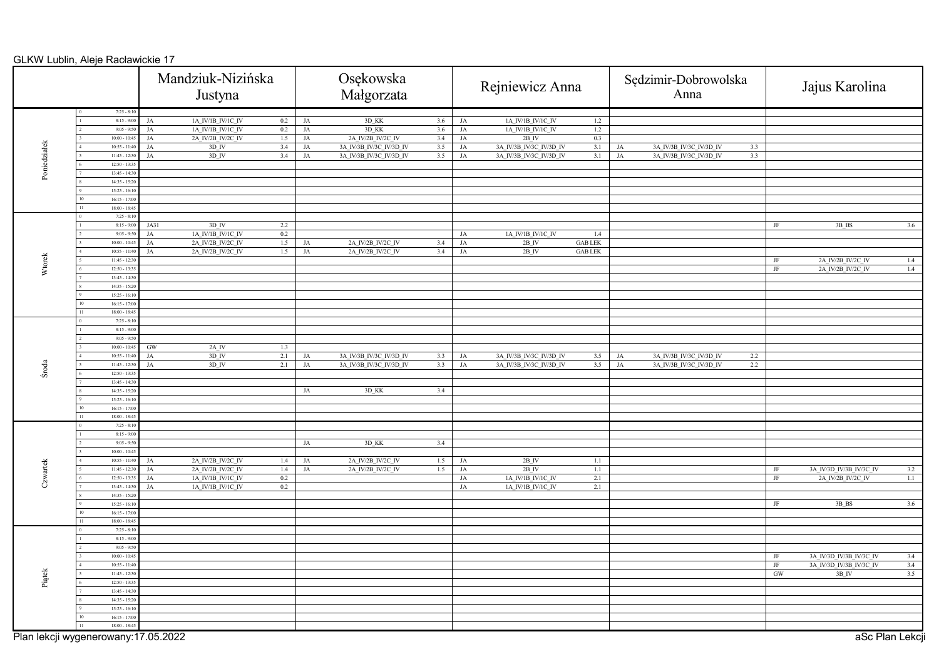|              |                                      |                   | Mandziuk-Nizińska<br>Justyna           |                |                   | Osękowska<br>Małgorzata                |            |                  | Rejniewicz Anna                        |                                            | Sędzimir-Dobrowolska<br>Anna |                         |     | Jajus Karolina |                                |
|--------------|--------------------------------------|-------------------|----------------------------------------|----------------|-------------------|----------------------------------------|------------|------------------|----------------------------------------|--------------------------------------------|------------------------------|-------------------------|-----|----------------|--------------------------------|
|              | $7:25 - 8:10$                        |                   |                                        |                |                   |                                        |            |                  |                                        |                                            |                              |                         |     |                |                                |
|              | $8:15 - 9:00$<br>$9:05 - 9:5$        | JA<br>$_{\rm JA}$ | 1A_IV/1B_IV/1C_IV<br>1A_IV/1B_IV/1C_IV | $0.2\,$<br>0.2 | JA                | 3D_KK<br>3D_KK                         | 3.6<br>3.6 | JA<br>JA         | 1A_IV/1B_IV/1C_IV<br>1A_IV/1B_IV/1C_IV | 1.2<br>1.2                                 |                              |                         |     |                |                                |
|              | $10:00 - 10:45$                      | JA                | 2A_IV/2B_IV/2C_IV                      | 1.5            | JA<br>$_{\rm JA}$ | 2A_IV/2B_IV/2C_IV                      | 3.4        | JA               | $2B$ $\,$ IV                           | 0.3                                        |                              |                         |     |                |                                |
|              | $10:55 - 11:4$                       | JA                | 3D IV                                  | 3.4            | $_{\rm JA}$       | 3A IV/3B IV/3C IV/3D IV                | 3.5        | $_{\mathrm{JA}}$ | 3A IV/3B IV/3C IV/3D IV                | 3.1                                        | JA                           | 3A IV/3B IV/3C IV/3D IV | 3.3 |                |                                |
| Poniedziałek | $11:45 - 12:3$                       | $_{\rm JA}$       | $3D$ IV                                | 3.4            | JA                | 3A IV/3B IV/3C IV/3D IV                | 3.5        | JA               | 3A IV/3B IV/3C IV/3D IV                | 3.1                                        | JA                           | 3A IV/3B IV/3C IV/3D IV | 3.3 |                |                                |
|              | $12:50 - 13:3$                       |                   |                                        |                |                   |                                        |            |                  |                                        |                                            |                              |                         |     |                |                                |
|              | $13:45 - 14:30$                      |                   |                                        |                |                   |                                        |            |                  |                                        |                                            |                              |                         |     |                |                                |
|              | $14:35 - 15:2$<br>$15:25 - 16:10$    |                   |                                        |                |                   |                                        |            |                  |                                        |                                            |                              |                         |     |                |                                |
|              | $16:15 - 17:0$                       |                   |                                        |                |                   |                                        |            |                  |                                        |                                            |                              |                         |     |                |                                |
|              | $18:00 - 18:45$                      |                   |                                        |                |                   |                                        |            |                  |                                        |                                            |                              |                         |     |                |                                |
|              | $7:25 - 8:10$                        |                   |                                        |                |                   |                                        |            |                  |                                        |                                            |                              |                         |     |                |                                |
|              | $8:15 - 9:00$                        | JA31              | $3D$ IV                                | 2.2            |                   |                                        |            |                  |                                        |                                            |                              |                         |     | JF             | 3B BS<br>3.6                   |
|              | $9:05 - 9:50$                        | JA                | 1A_IV/1B_IV/1C_IV                      | 0.2            |                   |                                        |            | JA               | 1A_IV/1B_IV/1C_IV                      | 1.4                                        |                              |                         |     |                |                                |
|              | $10:00 - 10:45$<br>$10:55 - 11:40$   | JA                | 2A_IV/2B_IV/2C_IV<br>2A IV/2B IV/2C IV | 1.5<br>1.5     | $_{\rm JA}$<br>JA | 2A IV/2B IV/2C IV<br>2A IV/2B IV/2C IV | 3.4<br>3.4 | $_{\mathrm{JA}}$ | $2B$ IV<br>$2B$ IV                     | $\operatorname{GAB}$ LEK<br><b>GAB LEK</b> |                              |                         |     |                |                                |
|              | $11:45 - 12:3$                       | JA                |                                        |                |                   |                                        |            | JA               |                                        |                                            |                              |                         |     | JF             | 2A IV/2B IV/2C IV<br>1.4       |
| Wtorek       | $12:50 - 13:3$                       |                   |                                        |                |                   |                                        |            |                  |                                        |                                            |                              |                         |     | JF             | 2A_IV/2B_IV/2C_IV<br>1.4       |
|              | $13:45 - 14:30$                      |                   |                                        |                |                   |                                        |            |                  |                                        |                                            |                              |                         |     |                |                                |
|              | $14:35 - 15:20$                      |                   |                                        |                |                   |                                        |            |                  |                                        |                                            |                              |                         |     |                |                                |
|              | $15:25 - 16:10$                      |                   |                                        |                |                   |                                        |            |                  |                                        |                                            |                              |                         |     |                |                                |
|              | $16:15 - 17:0$                       |                   |                                        |                |                   |                                        |            |                  |                                        |                                            |                              |                         |     |                |                                |
|              | $18:00 - 18:45$<br>$7:25 - 8:10$     |                   |                                        |                |                   |                                        |            |                  |                                        |                                            |                              |                         |     |                |                                |
|              | $8:15 - 9:00$                        |                   |                                        |                |                   |                                        |            |                  |                                        |                                            |                              |                         |     |                |                                |
|              | $9:05 - 9:50$                        |                   |                                        |                |                   |                                        |            |                  |                                        |                                            |                              |                         |     |                |                                |
|              | $10:00 - 10:45$                      | GW                | $2A$ <sup>IV</sup>                     | 1.3            |                   |                                        |            |                  |                                        |                                            |                              |                         |     |                |                                |
|              | $10:55 - 11:40$                      | JA                | $3D$ IV                                | 2.1            | JA                | 3A_IV/3B_IV/3C_IV/3D_IV                | 3.3        | $_{\rm JA}$      | 3A IV/3B IV/3C IV/3D IV                | 3.5                                        | JA                           | 3A IV/3B IV/3C IV/3D IV | 2.2 |                |                                |
| Środa        | $11:45 - 12:30$                      | $_{\rm JA}$       | $3D$ <sub>IV</sub>                     | 2.1            | $_{\rm JA}$       | 3A IV/3B IV/3C IV/3D IV                | 3.3        | $_{\mathrm{JA}}$ | 3A IV/3B IV/3C IV/3D IV                | 3.5                                        | JA                           | 3A IV/3B IV/3C IV/3D IV | 2.2 |                |                                |
|              | $12:50 - 13:3$                       |                   |                                        |                |                   |                                        |            |                  |                                        |                                            |                              |                         |     |                |                                |
|              | $13:45 - 14:3$<br>$14:35 - 15:20$    |                   |                                        |                |                   |                                        |            |                  |                                        |                                            |                              |                         |     |                |                                |
|              | $15:25 - 16:10$                      |                   |                                        |                | JA                | 3D KK                                  | 3.4        |                  |                                        |                                            |                              |                         |     |                |                                |
|              | $16:15 - 17:00$                      |                   |                                        |                |                   |                                        |            |                  |                                        |                                            |                              |                         |     |                |                                |
|              | $18:00 - 18:45$                      |                   |                                        |                |                   |                                        |            |                  |                                        |                                            |                              |                         |     |                |                                |
|              | $7:25 - 8:10$                        |                   |                                        |                |                   |                                        |            |                  |                                        |                                            |                              |                         |     |                |                                |
|              | $8:15 - 9:00$                        |                   |                                        |                |                   |                                        |            |                  |                                        |                                            |                              |                         |     |                |                                |
|              | $9:05 - 9:50$                        |                   |                                        |                | $_{\rm JA}$       | 3D_KK                                  | 3.4        |                  |                                        |                                            |                              |                         |     |                |                                |
|              | $10:00 - 10:45$<br>$10:55 - 11:40$   | $_{\rm JA}$       | 2A_IV/2B_IV/2C_IV                      | 1.4            | JA                | 2A_IV/2B_IV/2C_IV                      | 1.5        | JA               | $2\mathrm{B}$ IV                       | $1.1\,$                                    |                              |                         |     |                |                                |
| Czwartek     | $11:45 - 12:30$                      | JA                | 2A IV/2B IV/2C IV                      | 1.4            | JA                | 2A IV/2B IV/2C IV                      | 1.5        | JA               | $2B$ IV                                | 1.1                                        |                              |                         |     | JF             | 3A IV/3D IV/3B IV/3C IV<br>3.2 |
|              | $12:50 - 13:35$                      | JA                | 1A_IV/1B_IV/1C_IV                      | $0.2\,$        |                   |                                        |            | JA               | 1A_IV/1B_IV/1C_IV                      | 2.1                                        |                              |                         |     | JF             | 2A_IV/2B_IV/2C_IV<br>1.1       |
|              | $13:45 - 14:30$                      | JA                | 1A IV/1B IV/1C IV                      | $0.2\,$        |                   |                                        |            | $_{\rm JA}$      | 1A IV/1B IV/1C IV                      | 2.1                                        |                              |                         |     |                |                                |
|              | $14:35 - 15:2$                       |                   |                                        |                |                   |                                        |            |                  |                                        |                                            |                              |                         |     |                |                                |
|              | $15:25 - 16:10$                      |                   |                                        |                |                   |                                        |            |                  |                                        |                                            |                              |                         |     | JF             | 3B BS<br>3.6                   |
|              | $16:15 - 17:0$<br>$18:00 - 18:45$    |                   |                                        |                |                   |                                        |            |                  |                                        |                                            |                              |                         |     |                |                                |
|              | $7:25 - 8:10$                        |                   |                                        |                |                   |                                        |            |                  |                                        |                                            |                              |                         |     |                |                                |
|              | $8:15 - 9:00$                        |                   |                                        |                |                   |                                        |            |                  |                                        |                                            |                              |                         |     |                |                                |
|              | $9:05 - 9:50$                        |                   |                                        |                |                   |                                        |            |                  |                                        |                                            |                              |                         |     |                |                                |
|              | $10:00 - 10:45$                      |                   |                                        |                |                   |                                        |            |                  |                                        |                                            |                              |                         |     | JF             | 3A IV/3D IV/3B IV/3C IV<br>3.4 |
|              | $10:55 - 11:40$                      |                   |                                        |                |                   |                                        |            |                  |                                        |                                            |                              |                         |     | JF             | 3A IV/3D IV/3B IV/3C IV<br>3.4 |
| Piątek       | $11:45 - 12:30$<br>$12:50 - 13:3$    |                   |                                        |                |                   |                                        |            |                  |                                        |                                            |                              |                         |     | GW             | 3.5<br>$3B$ $\,$ IV            |
|              | $13:45 - 14:30$                      |                   |                                        |                |                   |                                        |            |                  |                                        |                                            |                              |                         |     |                |                                |
|              | $14:35 - 15:20$                      |                   |                                        |                |                   |                                        |            |                  |                                        |                                            |                              |                         |     |                |                                |
|              | $15:25 - 16:10$                      |                   |                                        |                |                   |                                        |            |                  |                                        |                                            |                              |                         |     |                |                                |
|              | $16:15 - 17:0$                       |                   |                                        |                |                   |                                        |            |                  |                                        |                                            |                              |                         |     |                |                                |
|              | $18:00 - 18:45$                      |                   |                                        |                |                   |                                        |            |                  |                                        |                                            |                              |                         |     |                |                                |
|              | Plan lekcji wygenerowany: 17.05.2022 |                   |                                        |                |                   |                                        |            |                  |                                        |                                            |                              |                         |     |                | aSc Plan Lekcji                |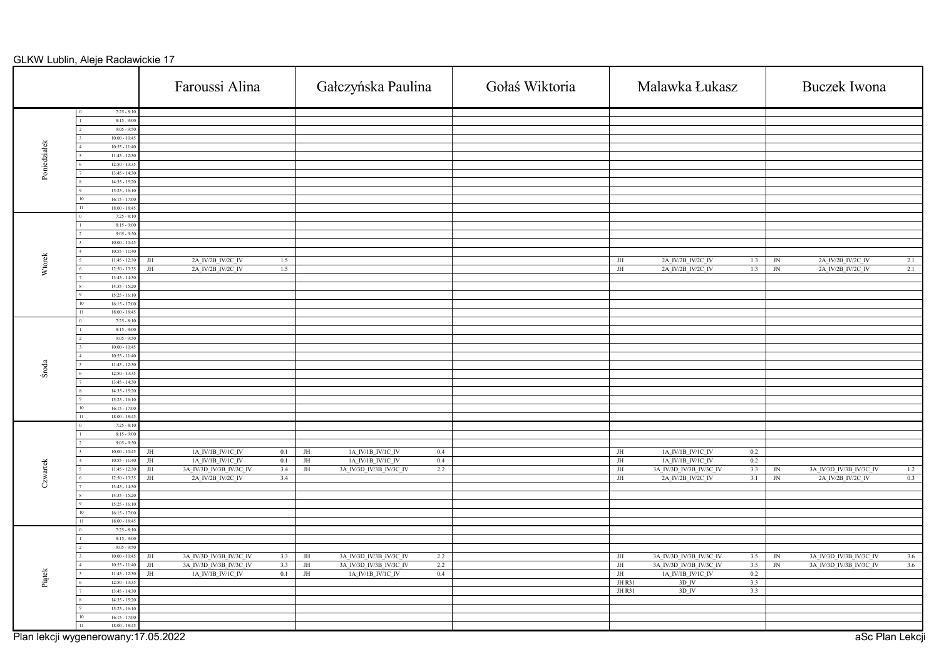|              |                                    | Faroussi Alina                                                   | Gałczyńska Paulina                                                         | Gołaś Wiktoria | Malawka Łukasz                                                             | <b>Buczek</b> Iwona                                            |
|--------------|------------------------------------|------------------------------------------------------------------|----------------------------------------------------------------------------|----------------|----------------------------------------------------------------------------|----------------------------------------------------------------|
|              | $7:25 - 8:10$                      |                                                                  |                                                                            |                |                                                                            |                                                                |
|              | $8:15 - 9:00$                      |                                                                  |                                                                            |                |                                                                            |                                                                |
|              | $9:05 - 9:50$<br>$10:00 - 10:45$   |                                                                  |                                                                            |                |                                                                            |                                                                |
|              | $10:55 - 11:40$                    |                                                                  |                                                                            |                |                                                                            |                                                                |
| Poniedziałek | $11:45 - 12:30$                    |                                                                  |                                                                            |                |                                                                            |                                                                |
|              | $12:50 - 13:35$                    |                                                                  |                                                                            |                |                                                                            |                                                                |
|              | $13:45 - 14:30$                    |                                                                  |                                                                            |                |                                                                            |                                                                |
|              | $14:35 - 15:20$                    |                                                                  |                                                                            |                |                                                                            |                                                                |
|              | $15:25 - 16:10$                    |                                                                  |                                                                            |                |                                                                            |                                                                |
|              | $16:15 - 17:00$                    |                                                                  |                                                                            |                |                                                                            |                                                                |
|              | $18:00 - 18:45$<br>$7:25 - 8:10$   |                                                                  |                                                                            |                |                                                                            |                                                                |
|              | $8:15 - 9:00$                      |                                                                  |                                                                            |                |                                                                            |                                                                |
|              | $9:05 - 9:50$                      |                                                                  |                                                                            |                |                                                                            |                                                                |
|              | $10:00 - 10:45$                    |                                                                  |                                                                            |                |                                                                            |                                                                |
|              | $10:55 - 11:40$                    |                                                                  |                                                                            |                |                                                                            |                                                                |
| Wtorek       | $11:45 - 12:30$                    | 2A_IV/2B_IV/2C_IV<br>$\rm JH$<br>1.5                             |                                                                            |                | 2A_IV/2B_IV/2C_IV<br>JH<br>1.3                                             | 2A_IV/2B_IV/2C_IV<br>$\ensuremath{\text{\rm JN}}$<br>2.1       |
|              | $12:50 - 13:35$                    | 2A_IV/2B_IV/2C_IV<br>1.5<br>JH                                   |                                                                            |                | 2A_IV/2B_IV/2C_IV<br>$\rm JH$<br>1.3                                       | 2A_IV/2B_IV/2C_IV<br>$\ensuremath{\text{\rm JN}}$<br>2.1       |
|              | $13:45 - 14:30$                    |                                                                  |                                                                            |                |                                                                            |                                                                |
|              | $14:35 - 15:20$<br>$15:25 - 16:10$ |                                                                  |                                                                            |                |                                                                            |                                                                |
|              | $16:15 - 17:00$                    |                                                                  |                                                                            |                |                                                                            |                                                                |
|              | $18:00 - 18:45$                    |                                                                  |                                                                            |                |                                                                            |                                                                |
|              | $7:25 - 8:10$                      |                                                                  |                                                                            |                |                                                                            |                                                                |
|              | $8:15 - 9:00$                      |                                                                  |                                                                            |                |                                                                            |                                                                |
|              | $9:05 - 9:50$                      |                                                                  |                                                                            |                |                                                                            |                                                                |
|              | $10:00 - 10:45$                    |                                                                  |                                                                            |                |                                                                            |                                                                |
|              | $10:55 - 11:40$                    |                                                                  |                                                                            |                |                                                                            |                                                                |
| Środa        | $11:45 - 12:30$                    |                                                                  |                                                                            |                |                                                                            |                                                                |
|              | $12:50 - 13:3$<br>$13:45 - 14:30$  |                                                                  |                                                                            |                |                                                                            |                                                                |
|              | $14:35 - 15:20$                    |                                                                  |                                                                            |                |                                                                            |                                                                |
|              | $15:25 - 16:10$                    |                                                                  |                                                                            |                |                                                                            |                                                                |
|              | $16:15 - 17:00$                    |                                                                  |                                                                            |                |                                                                            |                                                                |
|              | $18:00 - 18:45$                    |                                                                  |                                                                            |                |                                                                            |                                                                |
|              | $7:25 - 8:10$                      |                                                                  |                                                                            |                |                                                                            |                                                                |
|              | $8:15 - 9:00$                      |                                                                  |                                                                            |                |                                                                            |                                                                |
|              | $9:05 - 9:50$                      |                                                                  |                                                                            |                |                                                                            |                                                                |
|              | $10:00 - 10:45$<br>$10:55 - 11:40$ | 1A_IV/1B_IV/1C_IV<br>0.1<br>JH<br>1A IV/1B IV/1C IV<br>JH<br>0.1 | 1A_IV/1B_IV/1C_IV<br>JH<br>$0.4\,$<br>1A IV/1B IV/1C IV<br>0.4<br>$\rm JH$ |                | 1A_IV/1B_IV/1C_IV<br>JH<br>$0.2\,$<br>0.2<br>1A IV/1B IV/1C IV<br>$\rm JH$ |                                                                |
| Czwartek     | $11:45 - 12:30$                    | 3A IV/3D IV/3B IV/3C IV<br>3.4<br>JH                             | 3A IV/3D IV/3B IV/3C IV<br>2.2<br>JH                                       |                | 3A_IV/3D_IV/3B_IV/3C_IV<br>3.3<br>JH                                       | 3A IV/3D IV/3B IV/3C IV<br>$\ensuremath{\text{JN}}$<br>1.2     |
|              | $12:50 - 13:3$                     | 2A IV/2B IV/2C IV<br>3.4<br>JH                                   |                                                                            |                | $\rm JH$<br>2A_IV/2B_IV/2C_IV<br>3.1                                       | $\ensuremath{\text{\rm JN}}$<br>2A IV/2B IV/2C IV<br>0.3       |
|              | $13:45 - 14:30$                    |                                                                  |                                                                            |                |                                                                            |                                                                |
|              | $14:35 - 15:20$                    |                                                                  |                                                                            |                |                                                                            |                                                                |
|              | $15:25 - 16:10$                    |                                                                  |                                                                            |                |                                                                            |                                                                |
|              | $16:15 - 17:00$                    |                                                                  |                                                                            |                |                                                                            |                                                                |
|              | $18:00 - 18:45$<br>$7:25 - 8:10$   |                                                                  |                                                                            |                |                                                                            |                                                                |
|              | $8:15 - 9:00$                      |                                                                  |                                                                            |                |                                                                            |                                                                |
|              | $9:05 - 9:50$                      |                                                                  |                                                                            |                |                                                                            |                                                                |
|              | $10:00 - 10:45$                    | 3A IV/3D IV/3B IV/3C IV<br>3.3<br>JH                             | 3A IV/3D IV/3B IV/3C IV<br>2.2<br>JH                                       |                | 3A IV/3D IV/3B IV/3C IV<br>3.5<br>JH                                       | 3A IV/3D IV/3B IV/3C IV<br>$\ensuremath{\text{\rm JN}}$<br>3.6 |
|              | $10:55 - 11:40$                    | $\rm JH$<br>3A IV/3D IV/3B IV/3C IV<br>3.3                       | $\rm JH$<br>3A IV/3D IV/3B IV/3C IV<br>2.2                                 |                | $\rm JH$<br>3A IV/3D IV/3B IV/3C IV<br>3.5                                 | $\ensuremath{\text{\rm JN}}$<br>3A IV/3D IV/3B IV/3C IV<br>3.6 |
| Piątek       | $11:45 - 12:30$                    | $1\mathrm{A\_IV}/1\mathrm{B\_IV}/1\mathrm{C\_IV}$<br>0.1<br>JH   | 0.4<br>JH<br>$1\mathrm{A\_IV}/1\mathrm{B\_IV}/1\mathrm{C\_IV}$             |                | 0.2<br>$1\mathrm{A\_IV}/1\mathrm{B\_IV}/1\mathrm{C\_IV}$<br>JH             |                                                                |
|              | $12:50 - 13:35$                    |                                                                  |                                                                            |                | $3D$ <sub>IV</sub><br>JH R31<br>3.3                                        |                                                                |
|              | $13:45 - 14:30$                    |                                                                  |                                                                            |                | $3D$ <sub>IV</sub><br>JH R31<br>3.3                                        |                                                                |
|              | $14:35 - 15:20$                    |                                                                  |                                                                            |                |                                                                            |                                                                |
|              | $15:25 - 16:10$<br>$16:15 - 17:00$ |                                                                  |                                                                            |                |                                                                            |                                                                |
|              | $18:00 - 18:45$<br>$\overline{11}$ |                                                                  |                                                                            |                |                                                                            |                                                                |

Plan lekcji wygenerowany:17.05.2022 and the control of the control of the control of the control of the control of the control of the control of the control of the control of the control of the control of the control of th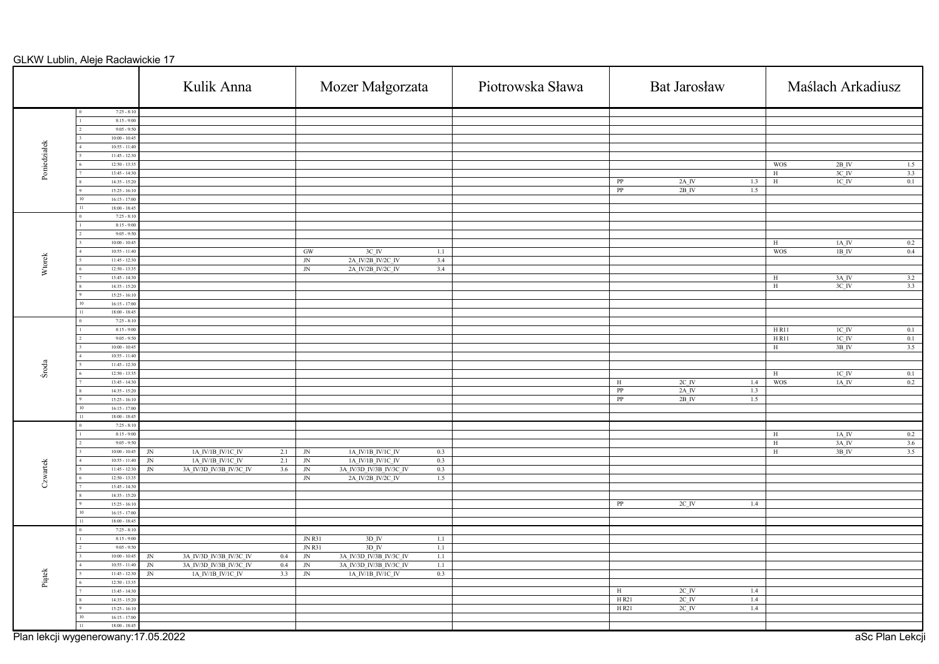|              |                                     | Kulik Anna                                              |                                     | Mozer Małgorzata                                                                                 |         | Piotrowska Sława |                        | <b>Bat Jarosław</b>                |            | Maślach Arkadiusz                                                                    |
|--------------|-------------------------------------|---------------------------------------------------------|-------------------------------------|--------------------------------------------------------------------------------------------------|---------|------------------|------------------------|------------------------------------|------------|--------------------------------------------------------------------------------------|
|              | $7:25 - 8:10$                       |                                                         |                                     |                                                                                                  |         |                  |                        |                                    |            |                                                                                      |
|              | $8:15 - 9:00$                       |                                                         |                                     |                                                                                                  |         |                  |                        |                                    |            |                                                                                      |
|              | $9:05 - 9:50$<br>$10:00 - 10:45$    |                                                         |                                     |                                                                                                  |         |                  |                        |                                    |            |                                                                                      |
|              | $10:55 - 11:40$                     |                                                         |                                     |                                                                                                  |         |                  |                        |                                    |            |                                                                                      |
|              | $11:45 - 12:30$                     |                                                         |                                     |                                                                                                  |         |                  |                        |                                    |            |                                                                                      |
| Poniedziałek | $12:50 - 13:35$                     |                                                         |                                     |                                                                                                  |         |                  |                        |                                    |            | <b>WOS</b><br>$2B$ <sup>IV</sup><br>1.5                                              |
|              | $13:45 - 14:30$                     |                                                         |                                     |                                                                                                  |         |                  |                        |                                    |            | $3C$ <sub>IV</sub><br>3.3<br>H                                                       |
|              | $14:35 - 15:20$                     |                                                         |                                     |                                                                                                  |         |                  | $\overline{\text{PP}}$ | $2A$ <sub>IV</sub>                 | 1.3        | 0.1<br>$IC$ <sub>IV</sub><br>H                                                       |
|              | $15:25 - 16:10$                     |                                                         |                                     |                                                                                                  |         |                  | PP                     | $2B$ <sup>IV</sup>                 | 1.5        |                                                                                      |
|              | $16:15 - 17:00$                     |                                                         |                                     |                                                                                                  |         |                  |                        |                                    |            |                                                                                      |
|              | $18:00 - 18:45$<br>11               |                                                         |                                     |                                                                                                  |         |                  |                        |                                    |            |                                                                                      |
|              | $7:25 - 8:10$                       |                                                         |                                     |                                                                                                  |         |                  |                        |                                    |            |                                                                                      |
|              | $8:15 - 9:00$                       |                                                         |                                     |                                                                                                  |         |                  |                        |                                    |            |                                                                                      |
|              | $9:05 - 9:50$<br>$10:00 - 10:45$    |                                                         |                                     |                                                                                                  |         |                  |                        |                                    |            | $1A$ IV<br>0.2<br>H                                                                  |
|              | $10:55 - 11:40$                     |                                                         | GW                                  | $3C$ IV                                                                                          | $1.1\,$ |                  |                        |                                    |            | <b>WOS</b><br>1B IV<br>0.4                                                           |
|              | $11:45 - 12:30$                     |                                                         | $\ensuremath{\text{JN}}$            | $2A$ $\underline{\text{IV}/2\text{B}}$ $\underline{\text{IV}/2\text{C}}$ $\underline{\text{IV}}$ | 3.4     |                  |                        |                                    |            |                                                                                      |
| Wtorek       | $12:50 - 13:35$                     |                                                         | ${\rm JN}$                          | 2A_IV/2B_IV/2C_IV                                                                                | 3.4     |                  |                        |                                    |            |                                                                                      |
|              | $13:45 - 14:30$                     |                                                         |                                     |                                                                                                  |         |                  |                        |                                    |            | $3A$ <sub>_IV</sub><br>3.2<br>H                                                      |
|              | $14:35 - 15:20$                     |                                                         |                                     |                                                                                                  |         |                  |                        |                                    |            | $3C$ <sub>IV</sub><br>3.3<br>H                                                       |
|              | $15:25 - 16:10$                     |                                                         |                                     |                                                                                                  |         |                  |                        |                                    |            |                                                                                      |
|              | $16:15 - 17:00$                     |                                                         |                                     |                                                                                                  |         |                  |                        |                                    |            |                                                                                      |
|              | $18:00 - 18:45$                     |                                                         |                                     |                                                                                                  |         |                  |                        |                                    |            |                                                                                      |
|              | $7:25 - 8:10$<br>$8:15 - 9:00$      |                                                         |                                     |                                                                                                  |         |                  |                        |                                    |            |                                                                                      |
|              | $9:05 - 9:50$                       |                                                         |                                     |                                                                                                  |         |                  |                        |                                    |            | $H$ R <sub>11</sub><br>$1\mathrm{C\_IV}$<br>0.1<br>HR11<br>$IC$ <sub>IV</sub><br>0.1 |
|              | $10:00 - 10:45$                     |                                                         |                                     |                                                                                                  |         |                  |                        |                                    |            | 3.5<br>H<br>$3B_{IV}$                                                                |
|              | $10:55 - 11:40$                     |                                                         |                                     |                                                                                                  |         |                  |                        |                                    |            |                                                                                      |
|              | $11:45 - 12:30$                     |                                                         |                                     |                                                                                                  |         |                  |                        |                                    |            |                                                                                      |
| Środa        | $12:50 - 13:35$                     |                                                         |                                     |                                                                                                  |         |                  |                        |                                    |            | $1C$ $IV$<br>0.1<br>H                                                                |
|              | $13:45 - 14:30$                     |                                                         |                                     |                                                                                                  |         |                  | $\,$ H                 | $2C$ <sup>IV</sup>                 | 1.4        | 0.2<br><b>WOS</b><br>$1\mathrm{A\_IV}$                                               |
|              | $14:35 - 15:20$                     |                                                         |                                     |                                                                                                  |         |                  | PP                     | $2A$ IV                            | 1.3        |                                                                                      |
|              | $15:25 - 16:10$                     |                                                         |                                     |                                                                                                  |         |                  | $\overline{\text{PP}}$ | $2B$ <sup>IV</sup>                 | 1.5        |                                                                                      |
|              | $16:15 - 17:00$                     |                                                         |                                     |                                                                                                  |         |                  |                        |                                    |            |                                                                                      |
|              | $18:00 - 18:45$<br>$7:25 - 8:10$    |                                                         |                                     |                                                                                                  |         |                  |                        |                                    |            |                                                                                      |
|              | $8:15 - 9:00$                       |                                                         |                                     |                                                                                                  |         |                  |                        |                                    |            | $1\mathrm{A\_IV}$<br>0.2<br>H                                                        |
|              | $9:05 - 9:50$                       |                                                         |                                     |                                                                                                  |         |                  |                        |                                    |            | $3A$ <sup>IV</sup><br>3.6<br>H                                                       |
|              | $10:00 - 10:45$                     | 1A IV/1B IV/1C IV<br>JN                                 | 2.1<br>${\rm JN}$                   | 1A_IV/1B_IV/1C_IV                                                                                | 0.3     |                  |                        |                                    |            | 3B IV<br>3.5<br>H                                                                    |
|              | $10:55 - 11:40$                     | 1A_IV/1B_IV/1C_IV<br>$\ensuremath{\text{JN}}$           | 2.1<br>$\ensuremath{\text{JN}}$     | 1A_IV/1B_IV/1C_IV                                                                                | 0.3     |                  |                        |                                    |            |                                                                                      |
| Czwartek     | $11:45 - 12:30$                     | 3A IV/3D IV/3B IV/3C IV<br>$\ensuremath{\text{\rm JN}}$ | 3.6<br>$\ensuremath{\text{\rm JN}}$ | 3A_IV/3D_IV/3B_IV/3C_IV                                                                          | 0.3     |                  |                        |                                    |            |                                                                                      |
|              | $12:50 - 13:35$                     |                                                         | $\ensuremath{\text{\rm JN}}$        | 2A_IV/2B_IV/2C_IV                                                                                | 1.5     |                  |                        |                                    |            |                                                                                      |
|              | $13:45 - 14:30$                     |                                                         |                                     |                                                                                                  |         |                  |                        |                                    |            |                                                                                      |
|              | $14:35 - 15:20$                     |                                                         |                                     |                                                                                                  |         |                  |                        |                                    |            |                                                                                      |
|              | $15:25 - 16:10$<br>$16:15 - 17:00$  |                                                         |                                     |                                                                                                  |         |                  | PP                     | $2C$ IV                            | 1.4        |                                                                                      |
|              | $18:00 - 18:45$                     |                                                         |                                     |                                                                                                  |         |                  |                        |                                    |            |                                                                                      |
|              | $7:25 - 8:10$                       |                                                         |                                     |                                                                                                  |         |                  |                        |                                    |            |                                                                                      |
|              | $8:15 - 9:00$                       |                                                         | <b>JN R31</b>                       | $3D$ <sub>IV</sub>                                                                               | 1.1     |                  |                        |                                    |            |                                                                                      |
|              | $9:05 - 9:50$                       |                                                         | JN R31                              | $3D$ <sup>IV</sup>                                                                               | 1.1     |                  |                        |                                    |            |                                                                                      |
|              | $10:00 - 10:45$                     | 3A_IV/3D_IV/3B_IV/3C_IV<br>JN                           | $0.4\,$<br>$\ensuremath{\text{JN}}$ | 3A_IV/3D_IV/3B_IV/3C_IV                                                                          | 1.1     |                  |                        |                                    |            |                                                                                      |
|              | $10:55 - 11:40$                     | 3A_IV/3D_IV/3B_IV/3C_IV<br>$\sqrt{\text{N}}$            | $0.4\,$<br>$\ensuremath{\text{JN}}$ | 3A_IV/3D_IV/3B_IV/3C_IV                                                                          | $1.1\,$ |                  |                        |                                    |            |                                                                                      |
| Piątek       | $11:45 - 12:30$                     | 1A IV/1B IV/1C IV<br>$\rm JN$                           | 3.3<br>$\rm JN$                     | 1A IV/1B IV/1C IV                                                                                | 0.3     |                  |                        |                                    |            |                                                                                      |
|              | $12:50 - 13:35$<br>$13:45 - 14:30$  |                                                         |                                     |                                                                                                  |         |                  |                        |                                    |            |                                                                                      |
|              | $14:35 - 15:20$                     |                                                         |                                     |                                                                                                  |         |                  | $\,$ H<br>H R21        | $2C$ $\,$ IV<br>$2C$ <sub>IV</sub> | 1.4<br>1.4 |                                                                                      |
|              | $15:25 - 16:10$                     |                                                         |                                     |                                                                                                  |         |                  | H R21                  | $2C$ <sub>_IV</sub>                | 1.4        |                                                                                      |
|              | $16:15 - 17:00$                     |                                                         |                                     |                                                                                                  |         |                  |                        |                                    |            |                                                                                      |
|              | $18:00 - 18:45$<br>l 11             |                                                         |                                     |                                                                                                  |         |                  |                        |                                    |            |                                                                                      |
|              | Plan lekcji wygenerowany:17.05.2022 |                                                         |                                     |                                                                                                  |         |                  |                        |                                    |            | aSc Plan Lekcji                                                                      |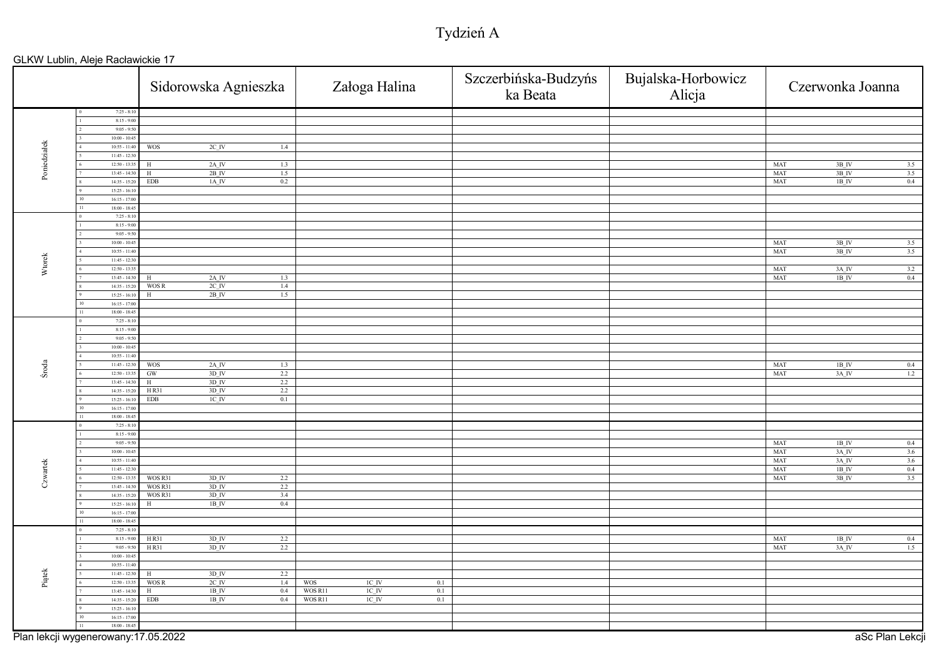# Tydzień A

|              |                                          | Sidorowska Agnieszka                                 | Załoga Halina                           | Szczerbińska-Budzyńs<br>ka Beata | Bujalska-Horbowicz<br>Alicja | Czerwonka Joanna                                         |
|--------------|------------------------------------------|------------------------------------------------------|-----------------------------------------|----------------------------------|------------------------------|----------------------------------------------------------|
|              | $7:25 - 8:10$                            |                                                      |                                         |                                  |                              |                                                          |
|              | $8:15 - 9:00$                            |                                                      |                                         |                                  |                              |                                                          |
|              | $9:05 - 9:50$                            |                                                      |                                         |                                  |                              |                                                          |
|              | $10:00 - 10:45$                          |                                                      |                                         |                                  |                              |                                                          |
|              | $10:55 - 11:40$<br>$11:45 - 12:30$       | <b>WOS</b><br>$2C$ <sub>IV</sub><br>1.4              |                                         |                                  |                              |                                                          |
| Poniedziałek | $12:50 - 13:3$                           | $2A$ <sub>IV</sub><br>1.3<br>H                       |                                         |                                  |                              | $3B$ IV<br>MAT<br>3.5                                    |
|              | $13:45 - 14:30$                          | $\rm H$<br>$2B$ <sub>IV</sub><br>1.5                 |                                         |                                  |                              | MAT<br>$3B$ <sub>IV</sub><br>3.5                         |
|              | $14:35 - 15:20$                          | $1A$ $N$<br><b>EDB</b><br>0.2                        |                                         |                                  |                              | MAT<br>0.4<br>$1B$ $I\!V$                                |
|              | $15:25 - 16:10$                          |                                                      |                                         |                                  |                              |                                                          |
|              | $16:15 - 17:00$                          |                                                      |                                         |                                  |                              |                                                          |
|              | $18:00 - 18:45$<br>11                    |                                                      |                                         |                                  |                              |                                                          |
|              | $7:25 - 8:10$                            |                                                      |                                         |                                  |                              |                                                          |
|              | $8:15 - 9:00$                            |                                                      |                                         |                                  |                              |                                                          |
|              | $9:05 - 9:50$<br>$10:00 - 10:45$         |                                                      |                                         |                                  |                              |                                                          |
|              | $10:55 - 11:40$                          |                                                      |                                         |                                  |                              | MAT<br>$3B$ IV<br>3.5<br>MAT<br>3B IV<br>3.5             |
| Wtorek       | $11:45 - 12:30$                          |                                                      |                                         |                                  |                              |                                                          |
|              | $12:50 - 13:35$                          |                                                      |                                         |                                  |                              | MAT<br>3A IV<br>3.2                                      |
|              | $13:45 - 14:30$                          | $2A$ <sub>IV</sub><br>1.3<br>Н                       |                                         |                                  |                              | MAT<br>1B IV<br>0.4                                      |
|              | $14:35 - 15:20$                          | WOS R<br>$2C$ <sub>_IV</sub><br>1.4                  |                                         |                                  |                              |                                                          |
|              | $15:25 - 16:1$                           | $2B$ <sub>IV</sub><br>1.5<br>$\rm H$                 |                                         |                                  |                              |                                                          |
|              | $16:15 - 17:0$                           |                                                      |                                         |                                  |                              |                                                          |
|              | $18:00 - 18:45$                          |                                                      |                                         |                                  |                              |                                                          |
|              | $7:25 - 8:10$                            |                                                      |                                         |                                  |                              |                                                          |
|              | $8:15 - 9:00$                            |                                                      |                                         |                                  |                              |                                                          |
|              | $9:05 - 9:50$<br>$10:00 - 10:45$         |                                                      |                                         |                                  |                              |                                                          |
|              | $10:55 - 11:40$                          |                                                      |                                         |                                  |                              |                                                          |
|              | $11:45 - 12:30$                          | $2A$ <sup>IV</sup><br><b>WOS</b><br>1.3              |                                         |                                  |                              | $1B_{\_}IV$<br>$\ensuremath{\mathsf{MAT}}\xspace$<br>0.4 |
| Środa        | $12:50 - 13:3$                           | $3D$ IV<br>2.2<br>$\operatorname{GW}$                |                                         |                                  |                              | <b>MAT</b><br>$3A$ IV<br>1.2                             |
|              | $13:45 - 14:30$                          | 3D IV<br>2.2<br>H                                    |                                         |                                  |                              |                                                          |
|              | $14:35 - 15:20$                          | H R31<br>3D IV<br>2.2                                |                                         |                                  |                              |                                                          |
|              | $15:25 - 16:10$                          | $\overline{\text{EDB}}$<br>$1C$ <sub>IV</sub><br>0.1 |                                         |                                  |                              |                                                          |
|              | $16:15 - 17:00$                          |                                                      |                                         |                                  |                              |                                                          |
|              | $18:00 - 18:45$                          |                                                      |                                         |                                  |                              |                                                          |
|              | $7:25 - 8:10$                            |                                                      |                                         |                                  |                              |                                                          |
|              | $8:15 - 9:00$<br>$9:05 - 9:50$           |                                                      |                                         |                                  |                              | $1B$ IV<br>0.4<br>MAT                                    |
|              | $10:00 - 10:45$                          |                                                      |                                         |                                  |                              | 3A_IV<br>MAT<br>3.6                                      |
|              | $10:55 - 11:40$                          |                                                      |                                         |                                  |                              | MAT<br>3A_IV<br>3.6                                      |
|              | $11:45 - 12:30$                          |                                                      |                                         |                                  |                              | <b>MAT</b><br>$1B$ <sub>IV</sub><br>0.4                  |
| Czwartek     | $12:50 - 13:35$                          | $3D$ <sup>IV</sup><br>WOS R31<br>$2.2\,$             |                                         |                                  |                              | 3.5<br>MAT<br>3B_IV                                      |
|              | $13:45 - 14:30$                          | WOS R31<br>$3D$ <sub>IV</sub><br>2.2                 |                                         |                                  |                              |                                                          |
|              | $14:35 - 15:20$                          | $3D$ <sub>IV</sub><br>3.4<br>WOS R31                 |                                         |                                  |                              |                                                          |
|              | $15:25 - 16:10$                          | $1B$ <sub>IV</sub><br>0.4<br>Н                       |                                         |                                  |                              |                                                          |
|              | $16:15 - 17:00$<br>10<br>$18:00 - 18:45$ |                                                      |                                         |                                  |                              |                                                          |
|              | $7:25 - 8:10$                            |                                                      |                                         |                                  |                              |                                                          |
|              | $8:15 - 9:00$                            | $3D$ <sub>IV</sub><br>H R31<br>2.2                   |                                         |                                  |                              | MAT<br>$1B$ <sup>IV</sup><br>0.4                         |
|              | $9:05 - 9:50$                            | $3D$ <sub>IV</sub><br>2.2<br>H R31                   |                                         |                                  |                              | MAT<br>$3A$ <sup>IV</sup><br>1.5                         |
|              | $10:00 - 10:45$                          |                                                      |                                         |                                  |                              |                                                          |
|              | $10:55 - 11:40$                          |                                                      |                                         |                                  |                              |                                                          |
| Piątek       | $11:45 - 12:30$                          | 2.2<br>3D IV<br>H                                    |                                         |                                  |                              |                                                          |
|              | $12:50 - 13:35$                          | WOS R<br>$2C$ <sub>IV</sub><br>1.4                   | <b>WOS</b><br>$1C$ <sub>IV</sub><br>0.1 |                                  |                              |                                                          |
|              | $13:45 - 14:30$                          | $1B$ <sup>IV</sup><br>0.4<br>H                       | WOS R11<br>$1\mathrm{C\_IV}$<br>0.1     |                                  |                              |                                                          |
|              | $14:35 - 15:20$<br>$15:25 - 16:10$       | $1B$ <sub>IV</sub><br>EDB<br>0.4                     | WOS R11<br>$1C$ $IV$<br>0.1             |                                  |                              |                                                          |
|              | $16:15 - 17:00$                          |                                                      |                                         |                                  |                              |                                                          |
|              | $18:00 - 18:45$<br>11                    |                                                      |                                         |                                  |                              |                                                          |
|              |                                          |                                                      |                                         |                                  |                              |                                                          |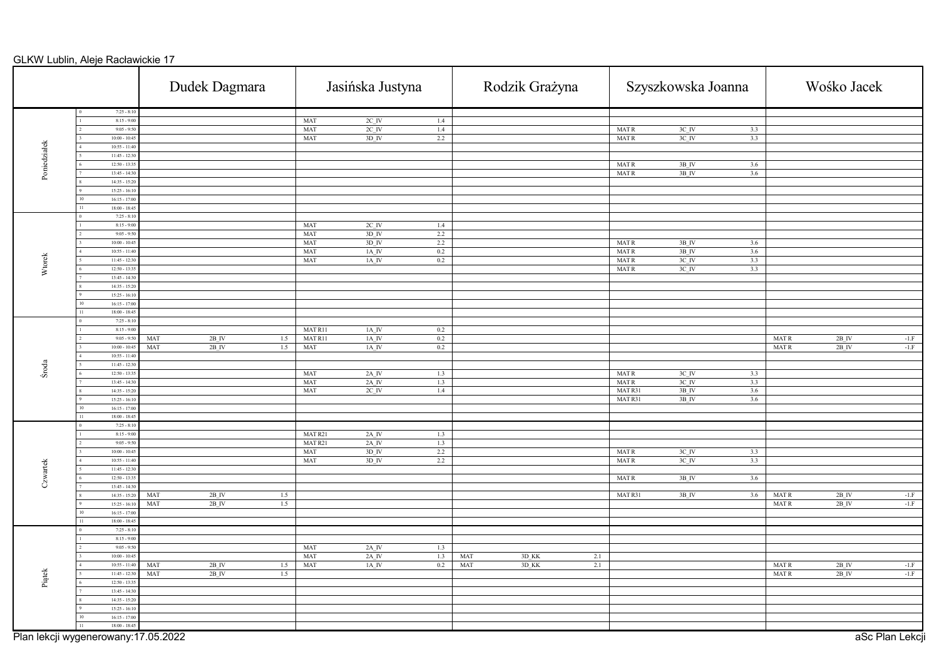|              |                                     | Dudek Dagmara                    |                    | Jasińska Justyna                          |            |            | Rodzik Grażyna |            |                        | Szyszkowska Joanna |     |             | Wośko Jacek        |                 |
|--------------|-------------------------------------|----------------------------------|--------------------|-------------------------------------------|------------|------------|----------------|------------|------------------------|--------------------|-----|-------------|--------------------|-----------------|
|              | $7:25 - 8:10$<br>$8:15 - 9:00$      |                                  | MAT                | $2C$ IV                                   | 1.4        |            |                |            |                        |                    |     |             |                    |                 |
|              | $9:05 - 9:50$                       |                                  | MAT                | $2C$ <sub>IV</sub>                        | 1.4        |            |                |            | <b>MATR</b>            | $3C$ <sub>IV</sub> | 3.3 |             |                    |                 |
|              | $10:00 - 10:45$                     |                                  | MAT                | $3D$ IV                                   | 2.2        |            |                |            | <b>MATR</b>            | $3C$ <sub>IV</sub> | 3.3 |             |                    |                 |
| Poniedziałek | $10:55 - 11:40$                     |                                  |                    |                                           |            |            |                |            |                        |                    |     |             |                    |                 |
|              | $11:45 - 12:30$<br>$12:50 - 13:3$   |                                  |                    |                                           |            |            |                |            | MAT R                  | $3B$ <sub>IV</sub> | 3.6 |             |                    |                 |
|              | $13:45 - 14:30$                     |                                  |                    |                                           |            |            |                |            | <b>MATR</b>            | $3B$ <sub>IV</sub> | 3.6 |             |                    |                 |
|              | $14:35 - 15:20$                     |                                  |                    |                                           |            |            |                |            |                        |                    |     |             |                    |                 |
|              | $15:25 - 16:10$<br>$16:15 - 17:00$  |                                  |                    |                                           |            |            |                |            |                        |                    |     |             |                    |                 |
|              | $18:00 - 18:45$                     |                                  |                    |                                           |            |            |                |            |                        |                    |     |             |                    |                 |
|              | $7:25 - 8:10$                       |                                  |                    |                                           |            |            |                |            |                        |                    |     |             |                    |                 |
|              | $8:15 - 9:00$                       |                                  | MAT                | $2C$ <sub>IV</sub>                        | 1.4        |            |                |            |                        |                    |     |             |                    |                 |
|              | $9:05 - 9:50$<br>$10:00 - 10:45$    |                                  | MAT<br>MAT         | $3D$ <sub>IV</sub><br>$3D$ <sub>IV</sub>  | 2.2<br>2.2 |            |                |            | MAT R                  | $3B$ <sup>IV</sup> | 3.6 |             |                    |                 |
|              | $10:55 - 11:40$                     |                                  | MAT                | 1A IV                                     | 0.2        |            |                |            | <b>MATR</b>            | 3B IV              | 3.6 |             |                    |                 |
| Wtorek       | $11:45 - 12:30$                     |                                  | MAT                | $1A$ <sub>IV</sub>                        | 0.2        |            |                |            | <b>MATR</b>            | $3C$ <sub>IV</sub> | 3.3 |             |                    |                 |
|              | $12:50 - 13:35$                     |                                  |                    |                                           |            |            |                |            | <b>MATR</b>            | $3C$ <sub>IV</sub> | 3.3 |             |                    |                 |
|              | $13:45 - 14:30$<br>$14:35 - 15:20$  |                                  |                    |                                           |            |            |                |            |                        |                    |     |             |                    |                 |
|              | $15:25 - 16:10$                     |                                  |                    |                                           |            |            |                |            |                        |                    |     |             |                    |                 |
|              | $16:15 - 17:00$                     |                                  |                    |                                           |            |            |                |            |                        |                    |     |             |                    |                 |
|              | $18:00 - 18:45$<br>$7:25 - 8:10$    |                                  |                    |                                           |            |            |                |            |                        |                    |     |             |                    |                 |
|              | $8:15 - 9:00$                       |                                  | MAT R11            | $1A$ <sup>IV</sup>                        | 0.2        |            |                |            |                        |                    |     |             |                    |                 |
|              | $9:05 - 9:50$                       | $2B$ <sub>IV</sub><br>1.5<br>MAT | MAT R11            | $1A$ <sup>IV</sup>                        | 0.2        |            |                |            |                        |                    |     | <b>MATR</b> | $2B$ <sub>IV</sub> | $-1.F$          |
|              | $10:00 - 10:45$                     | $2B$ IV<br>MAT<br>1.5            | MAT                | $1A$ <sub>IV</sub>                        | 0.2        |            |                |            |                        |                    |     | <b>MATR</b> | $2B$ IV            | $-1.F$          |
|              | $10:55 - 11:40$<br>$11:45 - 12:3$   |                                  |                    |                                           |            |            |                |            |                        |                    |     |             |                    |                 |
| Środa        | $12:50 - 13:35$                     |                                  | MAT                | $2A$ <sub>IV</sub>                        | 1.3        |            |                |            | <b>MATR</b>            | $3C$ <sub>IV</sub> | 3.3 |             |                    |                 |
|              | $13:45 - 14:30$                     |                                  | MAT                | $2A$ <sub>_IV</sub>                       | 1.3        |            |                |            | <b>MATR</b>            | $3C$ <sub>IV</sub> | 3.3 |             |                    |                 |
|              | $14:35 - 15:20$<br>$15:25 - 16:10$  |                                  | MAT                | $2C$ <sub>IV</sub>                        | 1.4        |            |                |            | MATR31                 | $3B$ <sup>IV</sup> | 3.6 |             |                    |                 |
|              | $16:15 - 17:00$                     |                                  |                    |                                           |            |            |                |            | MATR31                 | $3B$ <sub>IV</sub> | 3.6 |             |                    |                 |
|              | $18:00 - 18:45$                     |                                  |                    |                                           |            |            |                |            |                        |                    |     |             |                    |                 |
|              | $7:25 - 8:10$                       |                                  |                    |                                           |            |            |                |            |                        |                    |     |             |                    |                 |
|              | $8:15 - 9:00$<br>$9:05 - 9:50$      |                                  | MAT R21<br>MAT R21 | $2A$ <sup>IV</sup><br>$2A$ <sup>IV</sup>  | 1.3<br>1.3 |            |                |            |                        |                    |     |             |                    |                 |
|              | $10:00 - 10:45$                     |                                  | MAT                | $3D$ <sub>IV</sub>                        | 2.2        |            |                |            | <b>MATR</b>            | $3C$ <sub>IV</sub> | 3.3 |             |                    |                 |
|              | $10:55 - 11:40$                     |                                  | MAT                | $3D$ <sub>IV</sub>                        | 2.2        |            |                |            | <b>MATR</b>            | $3C$ <sub>IV</sub> | 3.3 |             |                    |                 |
| Czwartek     | $11:45 - 12:30$                     |                                  |                    |                                           |            |            |                |            |                        |                    |     |             |                    |                 |
|              | $12:50 - 13:35$<br>$13:45 - 14:30$  |                                  |                    |                                           |            |            |                |            | $\operatorname{MAT}$ R | $3B$ <sub>IV</sub> | 3.6 |             |                    |                 |
|              | $14:35 - 15:20$                     | $2B$ <sup>IV</sup><br>MAT<br>1.5 |                    |                                           |            |            |                |            | MATR31                 | $3B$ <sup>IV</sup> | 3.6 | <b>MATR</b> | $2B$ <sup>IV</sup> | $-1.F$          |
|              | $15:25 - 16:10$                     | MAT<br>$2B$ IV<br>1.5            |                    |                                           |            |            |                |            |                        |                    |     | <b>MATR</b> | $2B$ IV            | $-1.F$          |
|              | $16:15 - 17:00$                     |                                  |                    |                                           |            |            |                |            |                        |                    |     |             |                    |                 |
|              | $18:00 - 18:45$<br>$7:25 - 8:10$    |                                  |                    |                                           |            |            |                |            |                        |                    |     |             |                    |                 |
|              | $8:15 - 9:00$                       |                                  |                    |                                           |            |            |                |            |                        |                    |     |             |                    |                 |
|              | $9:05 - 9:50$                       |                                  | MAT                | $2A$ <sup><math>IV</math></sup>           | 1.3        |            |                |            |                        |                    |     |             |                    |                 |
|              | $10:00 - 10:45$<br>$10:55 - 11:40$  | $2B$ <sub>IV</sub><br>MAT<br>1.5 | MAT<br>MAT         | $2A$ <sub>_IV</sub><br>$1A$ <sub>IV</sub> | 1.3<br>0.2 | MAT<br>MAT | 3D_KK<br>3D_KK | 2.1<br>2.1 |                        |                    |     | <b>MATR</b> | $2B$ <sub>IV</sub> | $-1.F$          |
|              | $11:45 - 12:30$                     | $2B$ <sub>IV</sub><br>MAT<br>1.5 |                    |                                           |            |            |                |            |                        |                    |     | <b>MATR</b> | $2B$ IV            | $-1.F$          |
| Piątek       | $12:50 - 13:35$                     |                                  |                    |                                           |            |            |                |            |                        |                    |     |             |                    |                 |
|              | $13:45 - 14:30$                     |                                  |                    |                                           |            |            |                |            |                        |                    |     |             |                    |                 |
|              | $14:35 - 15:20$<br>$15:25 - 16:10$  |                                  |                    |                                           |            |            |                |            |                        |                    |     |             |                    |                 |
|              | $16:15 - 17:00$                     |                                  |                    |                                           |            |            |                |            |                        |                    |     |             |                    |                 |
|              | $18:00 - 18:45$                     |                                  |                    |                                           |            |            |                |            |                        |                    |     |             |                    |                 |
|              | Plan lekcji wygenerowany:17.05.2022 |                                  |                    |                                           |            |            |                |            |                        |                    |     |             |                    | aSc Plan Lekcji |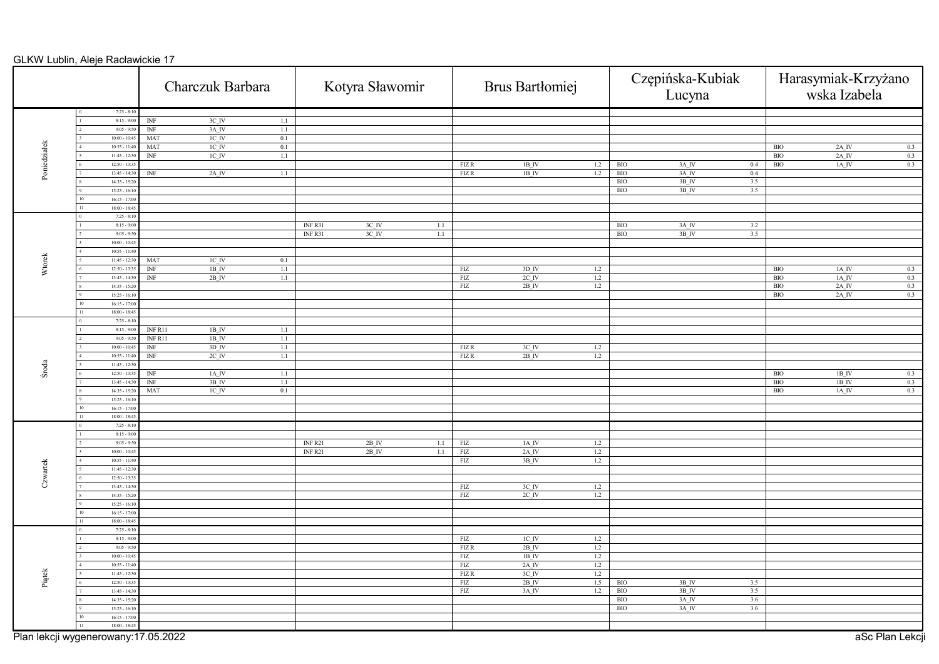|                                     |                       |                                  | Charczuk Barbara    |         |                    | Kotyra Sławomir    |     |             | Brus Bartłomiej    |     |                           | Czępińska-Kubiak<br>Lucyna |     |              | Harasymiak-Krzyżano<br>wska Izabela |
|-------------------------------------|-----------------------|----------------------------------|---------------------|---------|--------------------|--------------------|-----|-------------|--------------------|-----|---------------------------|----------------------------|-----|--------------|-------------------------------------|
|                                     | $7:25 - 8:10$         |                                  |                     |         |                    |                    |     |             |                    |     |                           |                            |     |              |                                     |
|                                     | $8:15 - 9:00$         | INF                              | $3C$ <sub>IV</sub>  | 1.1     |                    |                    |     |             |                    |     |                           |                            |     |              |                                     |
|                                     | $9:05 - 9:5$          | $\ensuremath{\text{INF}}\xspace$ | 3A_IV               | $1.1\,$ |                    |                    |     |             |                    |     |                           |                            |     |              |                                     |
|                                     | $10:00 - 10:4$        | <b>MAT</b>                       | IC IV               | 0.1     |                    |                    |     |             |                    |     |                           |                            |     |              |                                     |
| Poniedziałek                        | $10:55 - 11:40$       | <b>MAT</b>                       | $1C$ $N$            | 0.1     |                    |                    |     |             |                    |     |                           |                            |     | $\rm{BIO}$   | $2A$ <sub>IV</sub><br>0.3           |
|                                     | $11:45 - 12:3$        | $\overline{\text{INF}}$          | $1C$ IV             | 1.1     |                    |                    |     |             |                    |     |                           |                            |     | $_{\rm BIO}$ | 0.3<br>$2A$ IV                      |
|                                     | $12:50 - 13:3$        |                                  |                     |         |                    |                    |     | FIZR        | $1B$ IV            | 1.2 | <b>BIO</b>                | $3A$ <sub>IV</sub>         | 0.4 | $_{\rm BIO}$ | $1A$ IV<br>0.3                      |
|                                     | $13:45 - 14:30$       | INF                              | $2A$ <sub>_IV</sub> | 1.1     |                    |                    |     | FIZR        | $1B$ IV            | 1.2 | <b>BIO</b>                | 3A_IV                      | 0.4 |              |                                     |
|                                     | $14:35 - 15:20$       |                                  |                     |         |                    |                    |     |             |                    |     | BIO                       | $3B$ IV                    | 3.5 |              |                                     |
|                                     | $15:25 - 16:10$       |                                  |                     |         |                    |                    |     |             |                    |     | $\overline{\mathrm{BIO}}$ | $3B$ <sup>IV</sup>         | 3.5 |              |                                     |
|                                     | $16:15 - 17:00$<br>10 |                                  |                     |         |                    |                    |     |             |                    |     |                           |                            |     |              |                                     |
|                                     | $18:00 - 18:45$       |                                  |                     |         |                    |                    |     |             |                    |     |                           |                            |     |              |                                     |
|                                     | $7:25 - 8:10$         |                                  |                     |         |                    |                    |     |             |                    |     |                           |                            |     |              |                                     |
|                                     | $8:15 - 9:00$         |                                  |                     |         | INFR31             | $3C$ <sup>IV</sup> | 1.1 |             |                    |     | <b>BIO</b>                | $3A$ $\,$ IV               | 3.2 |              |                                     |
|                                     | $9:05 - 9:50$         |                                  |                     |         | INFR31             | 3C IV              | 1.1 |             |                    |     | <b>BIO</b>                | 3B IV                      | 3.5 |              |                                     |
|                                     | $10:00 - 10:45$       |                                  |                     |         |                    |                    |     |             |                    |     |                           |                            |     |              |                                     |
|                                     | $10:55 - 11:40$       |                                  |                     |         |                    |                    |     |             |                    |     |                           |                            |     |              |                                     |
| Wtorek                              | $11:45 - 12:3$        | MAT                              | $1C$ <sub>IV</sub>  | 0.1     |                    |                    |     |             |                    |     |                           |                            |     |              |                                     |
|                                     | $12:50 - 13:3$        | $\overline{\text{INF}}$          | $1B$ IV             | 1.1     |                    |                    |     | FIZ         | $3D$ IV            | 1.2 |                           |                            |     | BIO          | 1A IV<br>0.3                        |
|                                     | $13:45 - 14:3$        | INF                              | $2B$ <sub>IV</sub>  | 1.1     |                    |                    |     | <b>FIZ</b>  | $2C$ IV            | 1.2 |                           |                            |     | <b>BIO</b>   | 0.3<br>1A IV                        |
|                                     | $14:35 - 15:2$        |                                  |                     |         |                    |                    |     | FIZ         | $2B$ <sub>IV</sub> | 1.2 |                           |                            |     | <b>BIO</b>   | 0.3<br>$2A$ <sub>IV</sub>           |
|                                     | $15:25 - 16:10$       |                                  |                     |         |                    |                    |     |             |                    |     |                           |                            |     | BIO          | $2A$ <sup>IV</sup><br>0.3           |
|                                     | $16:15 - 17:00$       |                                  |                     |         |                    |                    |     |             |                    |     |                           |                            |     |              |                                     |
|                                     | $18:00 - 18:45$       |                                  |                     |         |                    |                    |     |             |                    |     |                           |                            |     |              |                                     |
|                                     | $7:25 - 8:10$         |                                  |                     |         |                    |                    |     |             |                    |     |                           |                            |     |              |                                     |
|                                     | $8:15 - 9:00$         | INF <sub>R11</sub>               | $1B$ <sup>IV</sup>  | $1.1\,$ |                    |                    |     |             |                    |     |                           |                            |     |              |                                     |
|                                     | $9:05 - 9:50$         | INF <sub>R11</sub>               | $1B$ IV             | 1.1     |                    |                    |     |             |                    |     |                           |                            |     |              |                                     |
|                                     | $10:00 - 10:4$        | INF                              | $3D$ <sub>IV</sub>  | 1.1     |                    |                    |     | FIZ R       | $3C$ <sub>IV</sub> | 1.2 |                           |                            |     |              |                                     |
|                                     | $10:55 - 11:40$       | $\ensuremath{\text{INF}}\xspace$ | $2C$ <sub>IV</sub>  |         |                    |                    |     | FIZR        | $2B$ <sub>IV</sub> | 1.2 |                           |                            |     |              |                                     |
|                                     | $11:45 - 12:3$        |                                  |                     | $1.1\,$ |                    |                    |     |             |                    |     |                           |                            |     |              |                                     |
| Środa                               | $12:50 - 13:3$        | INF                              | 1A IV               | 1.1     |                    |                    |     |             |                    |     |                           |                            |     | <b>BIO</b>   | 1B IV<br>0.3                        |
|                                     | $13:45 - 14:30$       | INF                              | 3B IV               | 1.1     |                    |                    |     |             |                    |     |                           |                            |     | <b>BIO</b>   | 1B IV<br>0.3                        |
|                                     |                       |                                  |                     |         |                    |                    |     |             |                    |     |                           |                            |     |              |                                     |
|                                     | $14:35 - 15:20$       | MAT                              | $1C$ <sub>IV</sub>  | 0.1     |                    |                    |     |             |                    |     |                           |                            |     | BIO          | $1A_N$<br>0.3                       |
|                                     | $15:25 - 16:10$       |                                  |                     |         |                    |                    |     |             |                    |     |                           |                            |     |              |                                     |
|                                     | $16:15 - 17:00$       |                                  |                     |         |                    |                    |     |             |                    |     |                           |                            |     |              |                                     |
|                                     | $18:00 - 18:45$       |                                  |                     |         |                    |                    |     |             |                    |     |                           |                            |     |              |                                     |
|                                     | $7:25 - 8:10$         |                                  |                     |         |                    |                    |     |             |                    |     |                           |                            |     |              |                                     |
|                                     | $8:15 - 9:00$         |                                  |                     |         |                    |                    |     |             |                    |     |                           |                            |     |              |                                     |
|                                     | $9:05 - 9:50$         |                                  |                     |         | INF <sub>R21</sub> | $2B$ IV            | 1.1 | FIZ         | $1A$ <sub>IV</sub> | 1.2 |                           |                            |     |              |                                     |
|                                     | $10:00 - 10:45$       |                                  |                     |         | INF <sub>R21</sub> | $2B$ <sup>IV</sup> | 1.1 | ${\rm FIZ}$ | $2A$ <sup>IV</sup> | 1.2 |                           |                            |     |              |                                     |
|                                     | $10:55 - 11:40$       |                                  |                     |         |                    |                    |     | FIZ         | 3B IV              | 1.2 |                           |                            |     |              |                                     |
| Czwartek                            | $11:45 - 12:30$       |                                  |                     |         |                    |                    |     |             |                    |     |                           |                            |     |              |                                     |
|                                     | $12:50 - 13:3$        |                                  |                     |         |                    |                    |     |             |                    |     |                           |                            |     |              |                                     |
|                                     | $13:45 - 14:30$       |                                  |                     |         |                    |                    |     | FIZ         | $3C$ <sub>IV</sub> | 1.2 |                           |                            |     |              |                                     |
|                                     | $14:35 - 15:20$       |                                  |                     |         |                    |                    |     | FIZ         | $2C$ IV            | 1.2 |                           |                            |     |              |                                     |
|                                     | $15:25 - 16:10$       |                                  |                     |         |                    |                    |     |             |                    |     |                           |                            |     |              |                                     |
|                                     | $16:15 - 17:00$<br>10 |                                  |                     |         |                    |                    |     |             |                    |     |                           |                            |     |              |                                     |
|                                     | $18:00 - 18:45$       |                                  |                     |         |                    |                    |     |             |                    |     |                           |                            |     |              |                                     |
|                                     | $7:25 - 8:10$         |                                  |                     |         |                    |                    |     |             |                    |     |                           |                            |     |              |                                     |
|                                     | $8:15 - 9:00$         |                                  |                     |         |                    |                    |     | FIZ         | $1C$ <sub>IV</sub> | 1.2 |                           |                            |     |              |                                     |
|                                     | $9:05 - 9:50$         |                                  |                     |         |                    |                    |     | <b>FIZR</b> | $2B$ <sub>IV</sub> | 1.2 |                           |                            |     |              |                                     |
|                                     | $10:00 - 10:45$       |                                  |                     |         |                    |                    |     | ${\rm FIZ}$ | 1B IV              | 1.2 |                           |                            |     |              |                                     |
|                                     | $10:55 - 11:40$       |                                  |                     |         |                    |                    |     | ${\rm FIZ}$ | $2A$ <sup>IV</sup> | 1.2 |                           |                            |     |              |                                     |
|                                     | $11:45 - 12:30$       |                                  |                     |         |                    |                    |     | <b>FIZR</b> | $3C$ IV            | 1.2 |                           |                            |     |              |                                     |
| Piątek                              | $12:50 - 13:3$        |                                  |                     |         |                    |                    |     | ${\rm FIZ}$ | $2B$ IV            | 1.5 | <b>BIO</b>                | $3B$ <sub>IV</sub>         | 3.5 |              |                                     |
|                                     | $13:45 - 14:30$       |                                  |                     |         |                    |                    |     | FIZ         | 3A IV              | 1.2 | <b>BIO</b>                | $3B$ IV                    | 3.5 |              |                                     |
|                                     | $14:35 - 15:20$       |                                  |                     |         |                    |                    |     |             |                    |     | <b>BIO</b>                | 3A_IV                      | 3.6 |              |                                     |
|                                     | $15:25 - 16:10$       |                                  |                     |         |                    |                    |     |             |                    |     | <b>BIO</b>                | $3A$ <sub>IV</sub>         | 3.6 |              |                                     |
|                                     | $16:15 - 17:00$       |                                  |                     |         |                    |                    |     |             |                    |     |                           |                            |     |              |                                     |
|                                     | $18:00 - 18:45$       |                                  |                     |         |                    |                    |     |             |                    |     |                           |                            |     |              |                                     |
| Plan lekcji wygenerowany:17.05.2022 |                       |                                  |                     |         |                    |                    |     |             |                    |     |                           |                            |     |              | aSc Plan Lekcji                     |
|                                     |                       |                                  |                     |         |                    |                    |     |             |                    |     |                           |                            |     |              |                                     |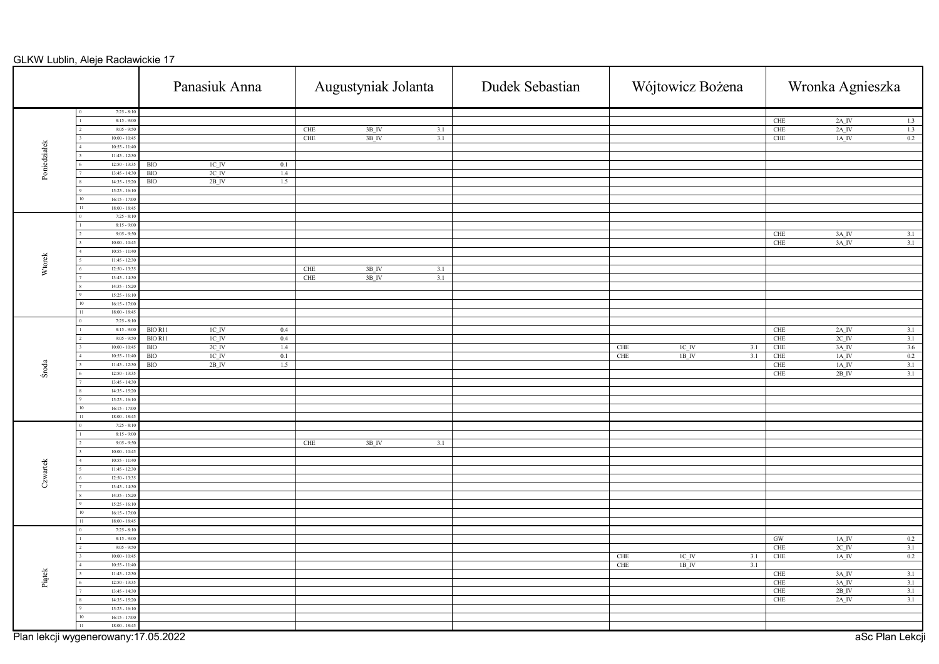|                  |                                     | Panasiuk Anna                              | Augustyniak Jolanta                      | Dudek Sebastian | Wójtowicz Bożena                                      | Wronka Agnieszka                                                                    |  |  |
|------------------|-------------------------------------|--------------------------------------------|------------------------------------------|-----------------|-------------------------------------------------------|-------------------------------------------------------------------------------------|--|--|
|                  | $7:25 - 8:10$                       |                                            |                                          |                 |                                                       |                                                                                     |  |  |
|                  | $8:15 - 9:00$                       |                                            |                                          |                 |                                                       | CHE<br>$2A$ <sup>IV</sup><br>1.3                                                    |  |  |
|                  | $9:05 - 9:50$                       |                                            | $3B$ <sub>IV</sub><br>3.1<br>CHE         |                 |                                                       | <b>CHE</b><br>$2A$ <sub>IV</sub><br>1.3                                             |  |  |
|                  | $10:00 - 10:45$                     |                                            | 3B_IV<br><b>CHE</b><br>3.1               |                 |                                                       | CHE<br>$1\mathrm{A\_IV}$<br>0.2                                                     |  |  |
| Poniedziałek     | $10:55 - 11:40$                     |                                            |                                          |                 |                                                       |                                                                                     |  |  |
|                  | $11:45 - 12:3$                      |                                            |                                          |                 |                                                       |                                                                                     |  |  |
|                  | $12:50 - 13:3$                      | $1\mathrm{C\_IV}$<br><b>BIO</b><br>0.1     |                                          |                 |                                                       |                                                                                     |  |  |
|                  | $13:45 - 14:30$                     | <b>BIO</b><br>$2C$ <sub>IV</sub><br>1.4    |                                          |                 |                                                       |                                                                                     |  |  |
|                  | $14:35 - 15:20$                     | $2B$ <sub>IV</sub><br>BIO<br>1.5           |                                          |                 |                                                       |                                                                                     |  |  |
|                  | $15:25 - 16:10$                     |                                            |                                          |                 |                                                       |                                                                                     |  |  |
|                  | $16:15 - 17:00$                     |                                            |                                          |                 |                                                       |                                                                                     |  |  |
|                  | $18:00 - 18:45$                     |                                            |                                          |                 |                                                       |                                                                                     |  |  |
|                  | $7:25 - 8:10$                       |                                            |                                          |                 |                                                       |                                                                                     |  |  |
|                  | $8:15 - 9:00$                       |                                            |                                          |                 |                                                       |                                                                                     |  |  |
|                  | $9:05 - 9:50$                       |                                            |                                          |                 |                                                       | $3A$ <sup>IV</sup><br>CHE<br>3.1                                                    |  |  |
|                  | $10:00 - 10:45$                     |                                            |                                          |                 |                                                       | 3.1<br><b>CHE</b><br>$3A$ <sup>IV</sup>                                             |  |  |
|                  | $10:55 - 11:40$                     |                                            |                                          |                 |                                                       |                                                                                     |  |  |
| Wtorek           | $11:45 - 12:30$                     |                                            |                                          |                 |                                                       |                                                                                     |  |  |
|                  | $12:50 - 13:35$                     |                                            | <b>CHE</b><br>$3B$ <sup>IV</sup><br>3.1  |                 |                                                       |                                                                                     |  |  |
|                  | $13:45 - 14:30$                     |                                            | 3B IV<br>CHE<br>3.1                      |                 |                                                       |                                                                                     |  |  |
|                  | $14:35 - 15:20$                     |                                            |                                          |                 |                                                       |                                                                                     |  |  |
|                  | $15:25 - 16:10$                     |                                            |                                          |                 |                                                       |                                                                                     |  |  |
|                  | $16:15 - 17:00$                     |                                            |                                          |                 |                                                       |                                                                                     |  |  |
|                  | $18:00 - 18:45$                     |                                            |                                          |                 |                                                       |                                                                                     |  |  |
|                  | $7:25 - 8:10$                       |                                            |                                          |                 |                                                       |                                                                                     |  |  |
|                  | $8:15 - 9:00$                       | BIO R11<br>$1\mathrm{C\_IV}$<br>0.4        |                                          |                 |                                                       | <b>CHE</b><br>$2\mathrm{A\_IV}$<br>3.1                                              |  |  |
|                  | $9:05 - 9:50$                       | <b>BIO R11</b><br>$1C$ $N$<br>$0.4\,$      |                                          |                 |                                                       | <b>CHE</b><br>$2C$ <sub>IV</sub><br>3.1                                             |  |  |
|                  | $10:00 - 10:45$                     | $2C$ $N$<br><b>BIO</b><br>$1.4\phantom{0}$ |                                          |                 | $1\mathrm{C\_IV}$<br>CHE<br>3.1                       | 3.6<br>CHE<br>$3A$ <sup>IV</sup>                                                    |  |  |
|                  | $10:55 - 11:4$                      | <b>BIO</b><br>$1C$ $IV$<br>0.1             |                                          |                 | 1B IV<br>CHE<br>3.1                                   | 0.2<br>CHE<br>1A IV                                                                 |  |  |
| Środa            | $11:45 - 12:30$                     | $2B$ <sub>IV</sub><br>BIO<br>1.5           |                                          |                 |                                                       | 3.1<br>CHE<br>$1A$ <sub>I</sub> V                                                   |  |  |
|                  | $12:50 - 13:35$                     |                                            |                                          |                 |                                                       | $\overline{3.1}$<br>CHE<br>$2B$ <sup>IV</sup>                                       |  |  |
|                  | $13:45 - 14:30$                     |                                            |                                          |                 |                                                       |                                                                                     |  |  |
|                  | $14:35 - 15:2$                      |                                            |                                          |                 |                                                       |                                                                                     |  |  |
|                  | $15:25 - 16:10$                     |                                            |                                          |                 |                                                       |                                                                                     |  |  |
|                  | $16:15 - 17:00$                     |                                            |                                          |                 |                                                       |                                                                                     |  |  |
|                  | $18:00 - 18:45$                     |                                            |                                          |                 |                                                       |                                                                                     |  |  |
|                  | $7:25 - 8:10$                       |                                            |                                          |                 |                                                       |                                                                                     |  |  |
|                  | $8:15 - 9:00$                       |                                            |                                          |                 |                                                       |                                                                                     |  |  |
|                  | $9:05 - 9:50$                       |                                            | $3B$ <sup>IV</sup><br>3.1<br>${\rm CHE}$ |                 |                                                       |                                                                                     |  |  |
|                  | $10:00 - 10:45$                     |                                            |                                          |                 |                                                       |                                                                                     |  |  |
| Czwartek         | $10:55 - 11:40$                     |                                            |                                          |                 |                                                       |                                                                                     |  |  |
|                  | $11:45 - 12:30$                     |                                            |                                          |                 |                                                       |                                                                                     |  |  |
|                  | $12:50 - 13:35$                     |                                            |                                          |                 |                                                       |                                                                                     |  |  |
|                  | $13:45 - 14:30$                     |                                            |                                          |                 |                                                       |                                                                                     |  |  |
|                  | $14:35 - 15:20$                     |                                            |                                          |                 |                                                       |                                                                                     |  |  |
|                  | $15:25 - 16:10$                     |                                            |                                          |                 |                                                       |                                                                                     |  |  |
|                  | $16:15 - 17:00$<br>$\overline{0}$   |                                            |                                          |                 |                                                       |                                                                                     |  |  |
|                  | $18:00 - 18:45$                     |                                            |                                          |                 |                                                       |                                                                                     |  |  |
|                  | $7:25 - 8:10$                       |                                            |                                          |                 |                                                       | GW<br>0.2                                                                           |  |  |
|                  | $8:15 - 9:00$<br>$9:05 - 9:50$      |                                            |                                          |                 |                                                       | $1A$ <sub>_IV</sub><br><b>CHE</b><br>$2C$ <sub>IV</sub>                             |  |  |
|                  | $10:00 - 10:45$                     |                                            |                                          |                 | $1C$ $\bf{IV}$                                        | 3.1<br>$0.2\,$<br><b>CHE</b><br>$1A$ <sup>IV</sup>                                  |  |  |
|                  | $10:55 - 11:40$                     |                                            |                                          |                 | CHE<br>3.1<br><b>CHE</b><br>$1B$ <sub>IV</sub><br>3.1 |                                                                                     |  |  |
|                  | $11:45 - 12:30$                     |                                            |                                          |                 |                                                       |                                                                                     |  |  |
| $_{\rm{Pigtek}}$ | $12:50 - 13:3$                      |                                            |                                          |                 |                                                       | 3.1<br>${\rm CHE}$<br>$3A$ <sup>IV</sup><br><b>CHE</b><br>$3A$ <sub>IV</sub><br>3.1 |  |  |
|                  | $13:45 - 14:30$                     |                                            |                                          |                 |                                                       | $2B$ IV<br>3.1<br><b>CHE</b>                                                        |  |  |
|                  | $14:35 - 15:20$                     |                                            |                                          |                 |                                                       | <b>CHE</b><br>$2A$ <sub>IV</sub><br>3.1                                             |  |  |
|                  | $15:25 - 16:10$                     |                                            |                                          |                 |                                                       |                                                                                     |  |  |
|                  | $16:15 - 17:0$                      |                                            |                                          |                 |                                                       |                                                                                     |  |  |
|                  | $18:00 - 18:45$                     |                                            |                                          |                 |                                                       |                                                                                     |  |  |
|                  |                                     |                                            |                                          |                 |                                                       |                                                                                     |  |  |
|                  | Plan lekcji wygenerowany:17.05.2022 |                                            |                                          |                 |                                                       | aSc Plan Lekcji                                                                     |  |  |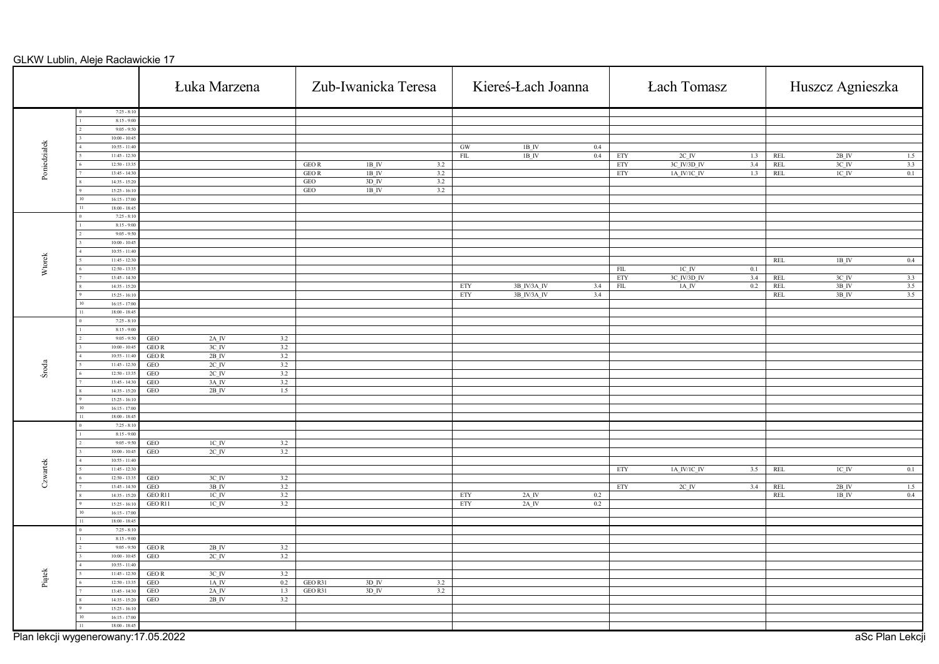|              |                                     |                      | Łuka Marzena                              |            |              |                                          | Zub-Iwanicka Teresa |                         | Kiereś-Łach Joanna      |     |                         | <b>Łach Tomasz</b>    |     | Huszcz Agnieszka |                    |                 |
|--------------|-------------------------------------|----------------------|-------------------------------------------|------------|--------------|------------------------------------------|---------------------|-------------------------|-------------------------|-----|-------------------------|-----------------------|-----|------------------|--------------------|-----------------|
|              | $7:25 - 8:10$                       |                      |                                           |            |              |                                          |                     |                         |                         |     |                         |                       |     |                  |                    |                 |
|              | $8:15 - 9:00$<br>$9:05 - 9:50$      |                      |                                           |            |              |                                          |                     |                         |                         |     |                         |                       |     |                  |                    |                 |
|              | $10:00 - 10:45$                     |                      |                                           |            |              |                                          |                     |                         |                         |     |                         |                       |     |                  |                    |                 |
| Poniedziałek | $10:55 - 11:40$                     |                      |                                           |            |              |                                          |                     | $\,$ GW                 | $1B$ $I\!V$             | 0.4 |                         |                       |     |                  |                    |                 |
|              | $11:45 - 12:30$                     |                      |                                           |            |              |                                          |                     | $\overline{\text{FIL}}$ | $1B$ <sub>IV</sub>      | 0.4 | ETY                     | $2C$ <sub>_</sub> $N$ | 1.3 | REL              | $2B$ <sup>IV</sup> | 1.5             |
|              | $12:50 - 13:35$                     |                      |                                           |            | <b>GEOR</b>  | $1B$ IV                                  | 3.2                 |                         |                         |     | ETY                     | 3C_IV/3D_IV           | 3.4 | REL              | $3C$ <sub>IV</sub> | 3.3             |
|              | $13:45 - 14:30$<br>$14:35 - 15:20$  |                      |                                           |            | GEO R<br>GEO | $1B$ <sup>IV</sup><br>$3D$ <sub>IV</sub> | 3.2<br>3.2          |                         |                         |     | ETY                     | $1A_IV/1C_IV$         | 1.3 | REL              | $IC$ <sub>IV</sub> | 0.1             |
|              | $15:25 - 16:10$                     |                      |                                           |            | <b>GEO</b>   | $1B$ <sup>IV</sup>                       | 3.2                 |                         |                         |     |                         |                       |     |                  |                    |                 |
|              | $16:15 - 17:00$                     |                      |                                           |            |              |                                          |                     |                         |                         |     |                         |                       |     |                  |                    |                 |
|              | $18:00 - 18:45$                     |                      |                                           |            |              |                                          |                     |                         |                         |     |                         |                       |     |                  |                    |                 |
|              | $7:25 - 8:10$                       |                      |                                           |            |              |                                          |                     |                         |                         |     |                         |                       |     |                  |                    |                 |
|              | $8:15 - 9:00$                       |                      |                                           |            |              |                                          |                     |                         |                         |     |                         |                       |     |                  |                    |                 |
|              | $9:05 - 9:50$<br>$10:00 - 10:45$    |                      |                                           |            |              |                                          |                     |                         |                         |     |                         |                       |     |                  |                    |                 |
|              | $10:55 - 11:40$                     |                      |                                           |            |              |                                          |                     |                         |                         |     |                         |                       |     |                  |                    |                 |
|              | $11:45 - 12:30$                     |                      |                                           |            |              |                                          |                     |                         |                         |     |                         |                       |     | REL              | $1\mathrm{B}$ IV   | 0.4             |
| Wtorek       | $12:50 - 13:35$                     |                      |                                           |            |              |                                          |                     |                         |                         |     | ${\rm FIL}$             | $1C$ $\bar{I}V$       | 0.1 |                  |                    |                 |
|              | $13:45 - 14:30$                     |                      |                                           |            |              |                                          |                     |                         |                         |     | ETY                     | 3C IV/3D IV           | 3.4 | REL              | $3C$ <sub>IV</sub> | 3.3             |
|              | $14:35 - 15:20$                     |                      |                                           |            |              |                                          |                     | ETY                     | 3B_IV/3A_IV             | 3.4 | $\overline{\text{FIL}}$ | $1A$ <sub>IV</sub>    | 0.2 | REL              | 3B IV              | 3.5             |
|              | $15:25 - 16:10$                     |                      |                                           |            |              |                                          |                     | $\overline{\text{ETY}}$ | 3B_IV/3A_IV             | 3.4 |                         |                       |     | <b>REL</b>       | $3B$ <sub>IV</sub> | 3.5             |
|              | $16:15 - 17:00$                     |                      |                                           |            |              |                                          |                     |                         |                         |     |                         |                       |     |                  |                    |                 |
|              | $18:00 - 18:45$<br>$7:25 - 8:10$    |                      |                                           |            |              |                                          |                     |                         |                         |     |                         |                       |     |                  |                    |                 |
|              | $8:15 - 9:00$                       |                      |                                           |            |              |                                          |                     |                         |                         |     |                         |                       |     |                  |                    |                 |
|              | $9:05 - 9:50$                       | $_{\rm GEO}$         | $2A$ <sub>IV</sub>                        | 3.2        |              |                                          |                     |                         |                         |     |                         |                       |     |                  |                    |                 |
|              | $10:00 - 10:45$                     | <b>GEOR</b>          | 3C IV                                     | 3.2        |              |                                          |                     |                         |                         |     |                         |                       |     |                  |                    |                 |
|              | $10:55 - 11:40$                     | GEO R                | $2B$ <sub>IV</sub>                        | 3.2        |              |                                          |                     |                         |                         |     |                         |                       |     |                  |                    |                 |
| Środa        | $11:45 - 12:30$                     | $$\sf{GEO}$$         | $2C$ <sub>IV</sub>                        | 3.2        |              |                                          |                     |                         |                         |     |                         |                       |     |                  |                    |                 |
|              | $12:50 - 13:35$                     | GEO                  | $2C$ IV                                   | 3.2        |              |                                          |                     |                         |                         |     |                         |                       |     |                  |                    |                 |
|              | $13:45 - 14:30$<br>$14:35 - 15:20$  | GEO<br>GEO           | $3A$ <sup>IV</sup><br>$2B$ <sub>IV</sub>  | 3.2        |              |                                          |                     |                         |                         |     |                         |                       |     |                  |                    |                 |
|              | $15:25 - 16:10$                     |                      |                                           | 1.5        |              |                                          |                     |                         |                         |     |                         |                       |     |                  |                    |                 |
|              | $16:15 - 17:00$                     |                      |                                           |            |              |                                          |                     |                         |                         |     |                         |                       |     |                  |                    |                 |
|              | $18:00 - 18:45$                     |                      |                                           |            |              |                                          |                     |                         |                         |     |                         |                       |     |                  |                    |                 |
|              | $7:25 - 8:10$                       |                      |                                           |            |              |                                          |                     |                         |                         |     |                         |                       |     |                  |                    |                 |
|              | $8:15 - 9:00$                       |                      |                                           |            |              |                                          |                     |                         |                         |     |                         |                       |     |                  |                    |                 |
|              | $9:05 - 9:50$                       | GEO                  | $1C$ <sub>IV</sub>                        | 3.2        |              |                                          |                     |                         |                         |     |                         |                       |     |                  |                    |                 |
|              | $10:00 - 10:45$<br>$10:55 - 11:40$  | GEO                  | $2C$ <sub>IV</sub>                        | 3.2        |              |                                          |                     |                         |                         |     |                         |                       |     |                  |                    |                 |
|              | $11:45 - 12:30$                     |                      |                                           |            |              |                                          |                     |                         |                         |     | ETY                     | 1A_IV/1C_IV           | 3.5 | REL              | $1C$ $IV$          | 0.1             |
| Czwartek     | $12:50 - 13:35$                     | $_{\rm GEO}$         | $3C$ <sub>IV</sub>                        | 3.2        |              |                                          |                     |                         |                         |     |                         |                       |     |                  |                    |                 |
|              | $13:45 - 14:30$                     | <b>GEO</b>           | 3B IV                                     | 3.2        |              |                                          |                     |                         |                         |     | ETY                     | $2C$ <sub>IV</sub>    | 3.4 | <b>REL</b>       | 2B IV              | 1.5             |
|              | $14:35 - 15:20$                     | GEO R11              | $1C$ <sub>IV</sub>                        | 3.2        |              |                                          |                     | $\overline{\text{ETY}}$ | $2A$ <sub>_IV</sub>     | 0.2 |                         |                       |     | <b>REL</b>       | $1B$ <sub>IV</sub> | 0.4             |
|              | $15:25 - 16:10$                     | GEO R11              | $1\mathrm{C}$ IV                          | 3.2        |              |                                          |                     | ETY                     | $2\mathrm{A}\text{~IV}$ | 0.2 |                         |                       |     |                  |                    |                 |
|              | $16:15 - 17:00$                     |                      |                                           |            |              |                                          |                     |                         |                         |     |                         |                       |     |                  |                    |                 |
|              | $18:00 - 18:45$<br>$7:25 - 8:10$    |                      |                                           |            |              |                                          |                     |                         |                         |     |                         |                       |     |                  |                    |                 |
|              | $8:15 - 9:00$                       |                      |                                           |            |              |                                          |                     |                         |                         |     |                         |                       |     |                  |                    |                 |
|              | $9:05 - 9:50$                       | GEO R                | $2B$ <sup>IV</sup>                        | 3.2        |              |                                          |                     |                         |                         |     |                         |                       |     |                  |                    |                 |
|              | $10:00 - 10:45$                     | GEO                  | $2C$ <sub>IV</sub>                        | 3.2        |              |                                          |                     |                         |                         |     |                         |                       |     |                  |                    |                 |
|              | $10:55 - 11:40$                     |                      |                                           |            |              |                                          |                     |                         |                         |     |                         |                       |     |                  |                    |                 |
| Piątek       | $11:45 - 12:30$                     | GEO R                | $3C$ <sub>_IV</sub>                       | 3.2        |              |                                          |                     |                         |                         |     |                         |                       |     |                  |                    |                 |
|              | $12:50 - 13:35$                     | $\operatorname{GEO}$ | $1A$ IV                                   | 0.2        | GEO R31      | $3D$ <sub>IV</sub><br>3D IV              | 3.2<br>3.2          |                         |                         |     |                         |                       |     |                  |                    |                 |
|              | $13:45 - 14:30$<br>$14:35 - 15:20$  | GEO<br>GEO           | $2A$ <sub>_IV</sub><br>$2B$ <sub>IV</sub> | 1.3<br>3.2 | GEO R31      |                                          |                     |                         |                         |     |                         |                       |     |                  |                    |                 |
|              | $15:25 - 16:10$                     |                      |                                           |            |              |                                          |                     |                         |                         |     |                         |                       |     |                  |                    |                 |
|              | $16:15 - 17:00$                     |                      |                                           |            |              |                                          |                     |                         |                         |     |                         |                       |     |                  |                    |                 |
|              | $18:00 - 18:45$                     |                      |                                           |            |              |                                          |                     |                         |                         |     |                         |                       |     |                  |                    |                 |
|              | Plan lekcji wygenerowany:17.05.2022 |                      |                                           |            |              |                                          |                     |                         |                         |     |                         |                       |     |                  |                    | aSc Plan Lekcji |